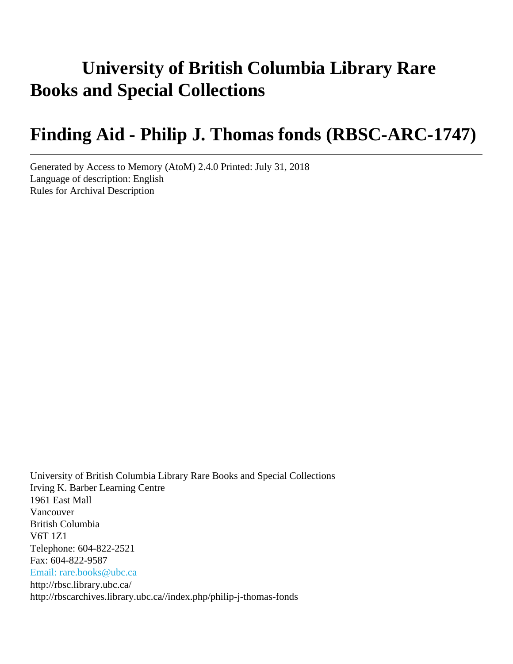# **University of British Columbia Library Rare Books and Special Collections**

# **Finding Aid - Philip J. Thomas fonds (RBSC-ARC-1747)**

Generated by Access to Memory (AtoM) 2.4.0 Printed: July 31, 2018 Language of description: English Rules for Archival Description

University of British Columbia Library Rare Books and Special Collections Irving K. Barber Learning Centre 1961 East Mall Vancouver British Columbia V6T 1Z1 Telephone: 604-822-2521 Fax: 604-822-9587 [Email: rare.books@ubc.ca](mailto:Email: rare.books@ubc.ca) http://rbsc.library.ubc.ca/ http://rbscarchives.library.ubc.ca//index.php/philip-j-thomas-fonds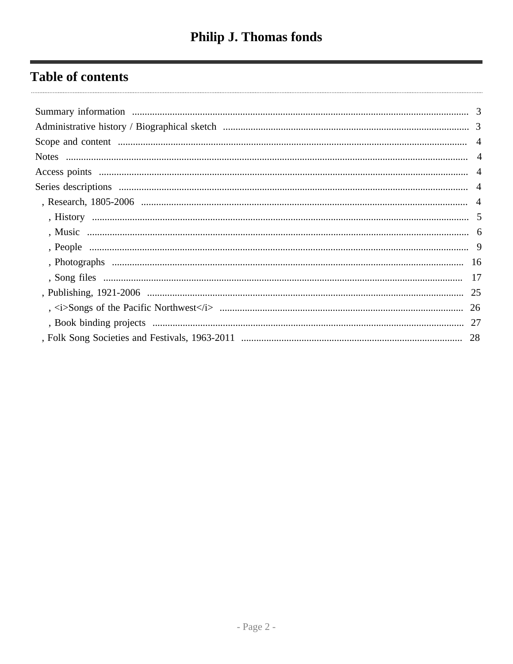# **Table of contents**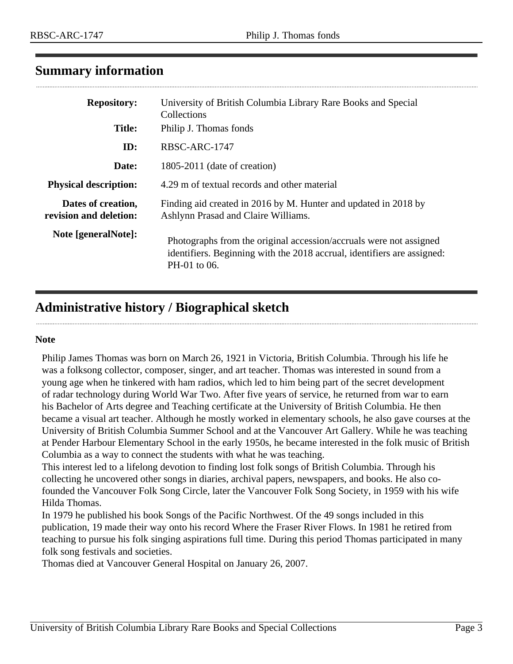# <span id="page-2-0"></span>**Summary information**

| <b>Repository:</b>                           | University of British Columbia Library Rare Books and Special<br>Collections                                                                                  |
|----------------------------------------------|---------------------------------------------------------------------------------------------------------------------------------------------------------------|
| <b>Title:</b>                                | Philip J. Thomas fonds                                                                                                                                        |
| ID:                                          | RBSC-ARC-1747                                                                                                                                                 |
| Date:                                        | $1805-2011$ (date of creation)                                                                                                                                |
| <b>Physical description:</b>                 | 4.29 m of textual records and other material                                                                                                                  |
| Dates of creation,<br>revision and deletion: | Finding aid created in 2016 by M. Hunter and updated in 2018 by<br>Ashlynn Prasad and Claire Williams.                                                        |
| Note [generalNote]:                          | Photographs from the original accession/accruals were not assigned<br>identifiers. Beginning with the 2018 accrual, identifiers are assigned:<br>PH-01 to 06. |

# <span id="page-2-1"></span>**Administrative history / Biographical sketch**

#### **Note**

Philip James Thomas was born on March 26, 1921 in Victoria, British Columbia. Through his life he was a folksong collector, composer, singer, and art teacher. Thomas was interested in sound from a young age when he tinkered with ham radios, which led to him being part of the secret development of radar technology during World War Two. After five years of service, he returned from war to earn his Bachelor of Arts degree and Teaching certificate at the University of British Columbia. He then became a visual art teacher. Although he mostly worked in elementary schools, he also gave courses at the University of British Columbia Summer School and at the Vancouver Art Gallery. While he was teaching at Pender Harbour Elementary School in the early 1950s, he became interested in the folk music of British Columbia as a way to connect the students with what he was teaching.

This interest led to a lifelong devotion to finding lost folk songs of British Columbia. Through his collecting he uncovered other songs in diaries, archival papers, newspapers, and books. He also cofounded the Vancouver Folk Song Circle, later the Vancouver Folk Song Society, in 1959 with his wife Hilda Thomas.

In 1979 he published his book Songs of the Pacific Northwest. Of the 49 songs included in this publication, 19 made their way onto his record Where the Fraser River Flows. In 1981 he retired from teaching to pursue his folk singing aspirations full time. During this period Thomas participated in many folk song festivals and societies.

Thomas died at Vancouver General Hospital on January 26, 2007.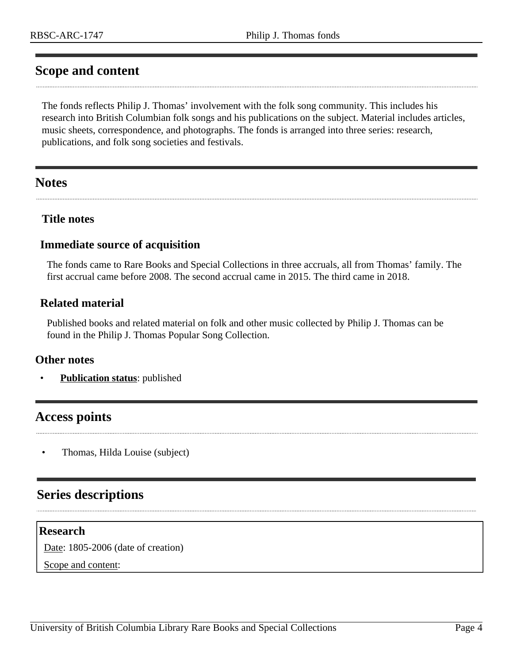# <span id="page-3-0"></span>**Scope and content**

The fonds reflects Philip J. Thomas' involvement with the folk song community. This includes his research into British Columbian folk songs and his publications on the subject. Material includes articles, music sheets, correspondence, and photographs. The fonds is arranged into three series: research, publications, and folk song societies and festivals.

# <span id="page-3-1"></span>**Notes**

#### **Title notes**

#### **Immediate source of acquisition**

The fonds came to Rare Books and Special Collections in three accruals, all from Thomas' family. The first accrual came before 2008. The second accrual came in 2015. The third came in 2018.

### **Related material**

Published books and related material on folk and other music collected by Philip J. Thomas can be found in the Philip J. Thomas Popular Song Collection.

#### **Other notes**

• **Publication status**: published

# <span id="page-3-2"></span>**Access points**

• Thomas, Hilda Louise (subject)

# <span id="page-3-3"></span>**Series descriptions**

#### <span id="page-3-4"></span>**Research**

Date: 1805-2006 (date of creation)

Scope and content: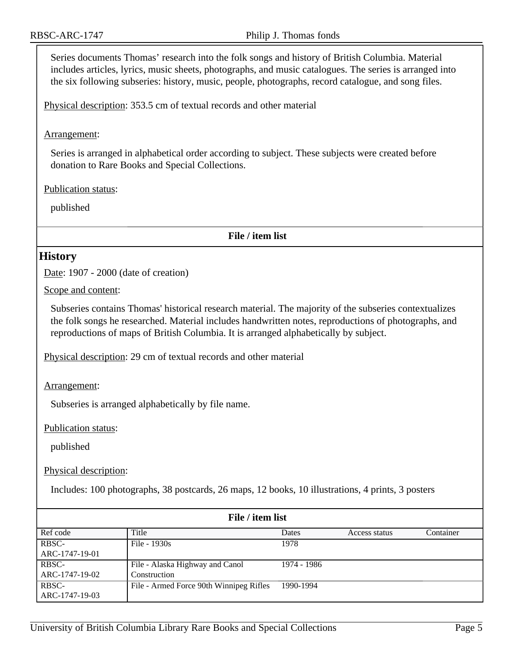Series documents Thomas' research into the folk songs and history of British Columbia. Material includes articles, lyrics, music sheets, photographs, and music catalogues. The series is arranged into the six following subseries: history, music, people, photographs, record catalogue, and song files.

Physical description: 353.5 cm of textual records and other material

Arrangement:

Series is arranged in alphabetical order according to subject. These subjects were created before donation to Rare Books and Special Collections.

Publication status:

published

**File / item list**

#### <span id="page-4-0"></span>**History**

Date: 1907 - 2000 (date of creation)

Scope and content:

Subseries contains Thomas' historical research material. The majority of the subseries contextualizes the folk songs he researched. Material includes handwritten notes, reproductions of photographs, and reproductions of maps of British Columbia. It is arranged alphabetically by subject.

Physical description: 29 cm of textual records and other material

Arrangement:

Subseries is arranged alphabetically by file name.

Publication status:

published

Physical description:

Includes: 100 photographs, 38 postcards, 26 maps, 12 books, 10 illustrations, 4 prints, 3 posters

| File / item list |                                         |             |               |           |
|------------------|-----------------------------------------|-------------|---------------|-----------|
| Ref code         | Title                                   | Dates       | Access status | Container |
| RBSC-            | File - 1930s                            | 1978        |               |           |
| ARC-1747-19-01   |                                         |             |               |           |
| RBSC-            | File - Alaska Highway and Canol         | 1974 - 1986 |               |           |
| ARC-1747-19-02   | Construction                            |             |               |           |
| RBSC-            | File - Armed Force 90th Winnipeg Rifles | 1990-1994   |               |           |
| ARC-1747-19-03   |                                         |             |               |           |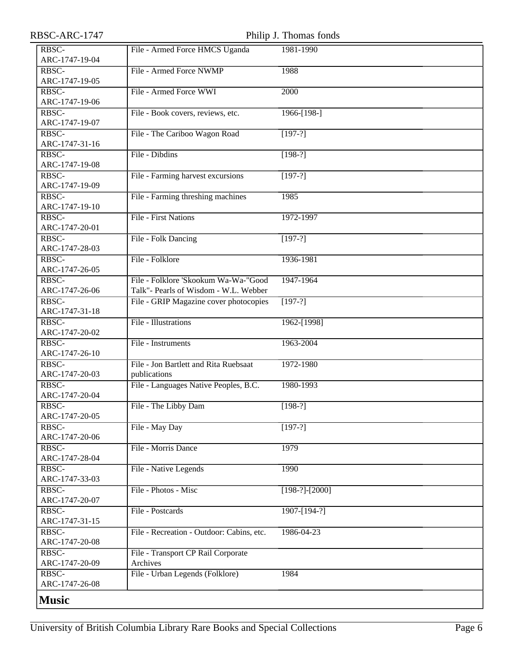<span id="page-5-0"></span>

| RBSC-ARC-1747           |                                           | Philip J. Thomas fonds |
|-------------------------|-------------------------------------------|------------------------|
| RBSC-                   | File - Armed Force HMCS Uganda            | 1981-1990              |
| ARC-1747-19-04          |                                           |                        |
| RBSC-                   | File - Armed Force NWMP                   | 1988                   |
| ARC-1747-19-05          |                                           |                        |
| RBSC-                   | File - Armed Force WWI                    | 2000                   |
| ARC-1747-19-06          |                                           |                        |
| RBSC-                   | File - Book covers, reviews, etc.         | 1966-[198-]            |
| ARC-1747-19-07          |                                           |                        |
| RBSC-                   | File - The Cariboo Wagon Road             | $[197-?]$              |
| ARC-1747-31-16          |                                           |                        |
| RBSC-                   | File - Dibdins                            | $[198-?]$              |
| ARC-1747-19-08          |                                           |                        |
| RBSC-                   | File - Farming harvest excursions         | $[197-?]$              |
| ARC-1747-19-09          |                                           |                        |
| RBSC-                   | File - Farming threshing machines         | 1985                   |
| ARC-1747-19-10          |                                           |                        |
| RBSC-                   | <b>File - First Nations</b>               | 1972-1997              |
| ARC-1747-20-01          |                                           |                        |
| RBSC-                   | File - Folk Dancing                       | $[197-?]$              |
| ARC-1747-28-03<br>RBSC- | File - Folklore                           | 1936-1981              |
| ARC-1747-26-05          |                                           |                        |
| RBSC-                   | File - Folklore 'Skookum Wa-Wa-"Good      | 1947-1964              |
| ARC-1747-26-06          | Talk"- Pearls of Wisdom - W.L. Webber     |                        |
| RBSC-                   | File - GRIP Magazine cover photocopies    | $[197-?]$              |
| ARC-1747-31-18          |                                           |                        |
| RBSC-                   | File - Illustrations                      | 1962-[1998]            |
| ARC-1747-20-02          |                                           |                        |
| RBSC-                   | File - Instruments                        | 1963-2004              |
| ARC-1747-26-10          |                                           |                        |
| RBSC-                   | File - Jon Bartlett and Rita Ruebsaat     | 1972-1980              |
| ARC-1747-20-03          | publications                              |                        |
| RBSC-                   | File - Languages Native Peoples, B.C.     | 1980-1993              |
| ARC-1747-20-04          |                                           |                        |
| RBSC-                   | File - The Libby Dam                      | $[198-?]$              |
| ARC-1747-20-05          |                                           |                        |
| RBSC-                   | File - May Day                            | $[197-?]$              |
| ARC-1747-20-06          |                                           |                        |
| RBSC-<br>ARC-1747-28-04 | File - Morris Dance                       | 1979                   |
| RBSC-                   | File - Native Legends                     | 1990                   |
| ARC-1747-33-03          |                                           |                        |
| RBSC-                   | File - Photos - Misc                      | $[198-?]$ - $[2000]$   |
| ARC-1747-20-07          |                                           |                        |
| RBSC-                   | File - Postcards                          | 1907-[194-?]           |
| ARC-1747-31-15          |                                           |                        |
| RBSC-                   | File - Recreation - Outdoor: Cabins, etc. | 1986-04-23             |
| ARC-1747-20-08          |                                           |                        |
| RBSC-                   | File - Transport CP Rail Corporate        |                        |
| ARC-1747-20-09          | Archives                                  |                        |
| RBSC-                   | File - Urban Legends (Folklore)           | 1984                   |
| ARC-1747-26-08          |                                           |                        |
| <b>Music</b>            |                                           |                        |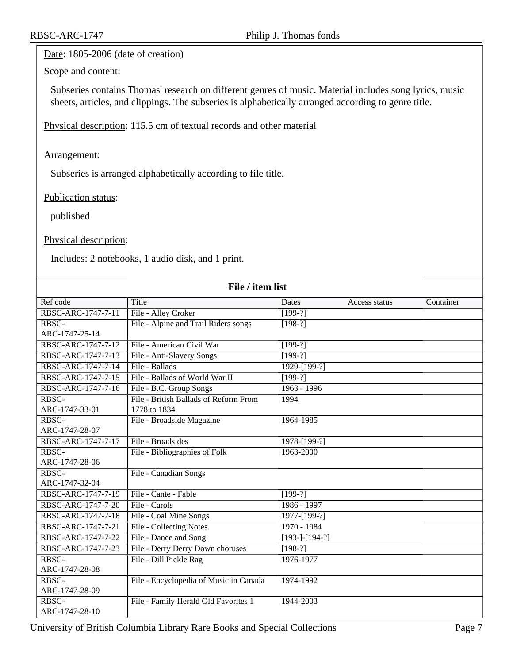#### Date: 1805-2006 (date of creation)

### Scope and content:

Subseries contains Thomas' research on different genres of music. Material includes song lyrics, music sheets, articles, and clippings. The subseries is alphabetically arranged according to genre title.

Physical description: 115.5 cm of textual records and other material

#### Arrangement:

Subseries is arranged alphabetically according to file title.

#### Publication status:

published

#### Physical description:

Includes: 2 notebooks, 1 audio disk, and 1 print.

| File / item list   |                                        |                  |               |           |
|--------------------|----------------------------------------|------------------|---------------|-----------|
| Ref code           | Title                                  | Dates            | Access status | Container |
| RBSC-ARC-1747-7-11 | File - Alley Croker                    | $[199-?]$        |               |           |
| RBSC-              | File - Alpine and Trail Riders songs   | $[198-?]$        |               |           |
| ARC-1747-25-14     |                                        |                  |               |           |
| RBSC-ARC-1747-7-12 | File - American Civil War              | $[199-?]$        |               |           |
| RBSC-ARC-1747-7-13 | File - Anti-Slavery Songs              | $[199-?]$        |               |           |
| RBSC-ARC-1747-7-14 | File - Ballads                         | 1929-[199-?]     |               |           |
| RBSC-ARC-1747-7-15 | File - Ballads of World War II         | $[199-?]$        |               |           |
| RBSC-ARC-1747-7-16 | File - B.C. Group Songs                | $1963 - 1996$    |               |           |
| RBSC-              | File - British Ballads of Reform From  | 1994             |               |           |
| ARC-1747-33-01     | 1778 to 1834                           |                  |               |           |
| RBSC-              | File - Broadside Magazine              | 1964-1985        |               |           |
| ARC-1747-28-07     |                                        |                  |               |           |
| RBSC-ARC-1747-7-17 | File - Broadsides                      | $1978 - [199-?]$ |               |           |
| RBSC-              | File - Bibliographies of Folk          | 1963-2000        |               |           |
| ARC-1747-28-06     |                                        |                  |               |           |
| RBSC-              | File - Canadian Songs                  |                  |               |           |
| ARC-1747-32-04     |                                        |                  |               |           |
| RBSC-ARC-1747-7-19 | File - Cante - Fable                   | $[199-?]$        |               |           |
| RBSC-ARC-1747-7-20 | File - Carols                          | 1986 - 1997      |               |           |
| RBSC-ARC-1747-7-18 | File - Coal Mine Songs                 | 1977-[199-?]     |               |           |
| RBSC-ARC-1747-7-21 | File - Collecting Notes                | 1970 - 1984      |               |           |
| RBSC-ARC-1747-7-22 | File - Dance and Song                  | $[193-]-[194-?]$ |               |           |
| RBSC-ARC-1747-7-23 | File - Derry Derry Down choruses       | $[198-?]$        |               |           |
| RBSC-              | File - Dill Pickle Rag                 | 1976-1977        |               |           |
| ARC-1747-28-08     |                                        |                  |               |           |
| RBSC-              | File - Encyclopedia of Music in Canada | 1974-1992        |               |           |
| ARC-1747-28-09     |                                        |                  |               |           |
| RBSC-              | File - Family Herald Old Favorites 1   | 1944-2003        |               |           |
| ARC-1747-28-10     |                                        |                  |               |           |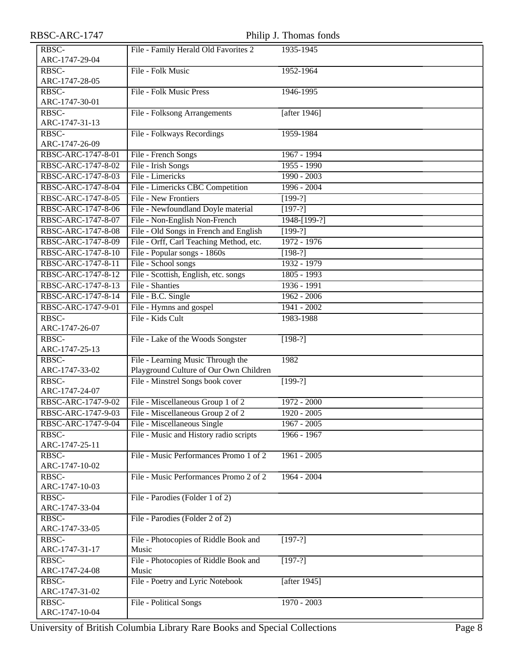| RBSC-ARC-1747 |  |
|---------------|--|
|---------------|--|

| RBSC-ARC-1747           |                                         | Philip J. Thomas fonds |
|-------------------------|-----------------------------------------|------------------------|
| RBSC-                   | File - Family Herald Old Favorites 2    | 1935-1945              |
| ARC-1747-29-04          |                                         |                        |
| RBSC-                   | File - Folk Music                       | 1952-1964              |
| ARC-1747-28-05          |                                         |                        |
| RBSC-                   | <b>File - Folk Music Press</b>          | 1946-1995              |
| ARC-1747-30-01          |                                         |                        |
| RBSC-                   | File - Folksong Arrangements            | [after $1946$ ]        |
| ARC-1747-31-13          |                                         |                        |
| RBSC-                   | File - Folkways Recordings              | 1959-1984              |
| ARC-1747-26-09          |                                         |                        |
| RBSC-ARC-1747-8-01      | File - French Songs                     | 1967 - 1994            |
| RBSC-ARC-1747-8-02      | File - Irish Songs                      | $1955 - 1990$          |
| RBSC-ARC-1747-8-03      | File - Limericks                        | $1990 - 2003$          |
| RBSC-ARC-1747-8-04      | File - Limericks CBC Competition        | $1996 - 2004$          |
| RBSC-ARC-1747-8-05      | File - New Frontiers                    | $[199-?]$              |
| RBSC-ARC-1747-8-06      | File - Newfoundland Doyle material      | $[197-?]$              |
| RBSC-ARC-1747-8-07      | File - Non-English Non-French           | 1948-[199-?]           |
| RBSC-ARC-1747-8-08      | File - Old Songs in French and English  | $[199-?]$              |
| RBSC-ARC-1747-8-09      | File - Orff, Carl Teaching Method, etc. | 1972 - 1976            |
| RBSC-ARC-1747-8-10      | File - Popular songs - 1860s            | $[198-?]$              |
| RBSC-ARC-1747-8-11      | File - School songs                     | $1932 - 1979$          |
| RBSC-ARC-1747-8-12      | File - Scottish, English, etc. songs    | 1805 - 1993            |
| RBSC-ARC-1747-8-13      | File - Shanties                         | $1936 - 1991$          |
| RBSC-ARC-1747-8-14      | File - B.C. Single                      | $1962 - 2006$          |
| RBSC-ARC-1747-9-01      | File - Hymns and gospel                 | 1941 - 2002            |
| RBSC-                   | File - Kids Cult                        | 1983-1988              |
| ARC-1747-26-07          |                                         |                        |
| RBSC-                   | File - Lake of the Woods Songster       | $[198-?]$              |
| ARC-1747-25-13          |                                         |                        |
| RBSC-                   | File - Learning Music Through the       | 1982                   |
| ARC-1747-33-02          | Playground Culture of Our Own Children  |                        |
| RBSC-                   | File - Minstrel Songs book cover        | $[199-?]$              |
| ARC-1747-24-07          |                                         |                        |
| RBSC-ARC-1747-9-02      | File - Miscellaneous Group 1 of 2       | 1972 - 2000            |
| RBSC-ARC-1747-9-03      | File - Miscellaneous Group 2 of 2       | 1920 - 2005            |
| RBSC-ARC-1747-9-04      | File - Miscellaneous Single             | $1967 - 2005$          |
| RBSC-                   | File - Music and History radio scripts  | 1966 - 1967            |
| ARC-1747-25-11          |                                         |                        |
| RBSC-                   | File - Music Performances Promo 1 of 2  | $1961 - 2005$          |
| ARC-1747-10-02          |                                         |                        |
| RBSC-<br>ARC-1747-10-03 | File - Music Performances Promo 2 of 2  | $1964 - 2004$          |
| RBSC-                   | File - Parodies (Folder 1 of 2)         |                        |
| ARC-1747-33-04          |                                         |                        |
| RBSC-                   | File - Parodies (Folder 2 of 2)         |                        |
| ARC-1747-33-05          |                                         |                        |
| RBSC-                   | File - Photocopies of Riddle Book and   | $[197-?]$              |
| ARC-1747-31-17          | Music                                   |                        |
| RBSC-                   | File - Photocopies of Riddle Book and   | $[197-?]$              |
| ARC-1747-24-08          | Music                                   |                        |
| RBSC-                   | File - Poetry and Lyric Notebook        | [after 1945]           |
| ARC-1747-31-02          |                                         |                        |
| RBSC-                   | File - Political Songs                  | $1970 - 2003$          |
| ARC-1747-10-04          |                                         |                        |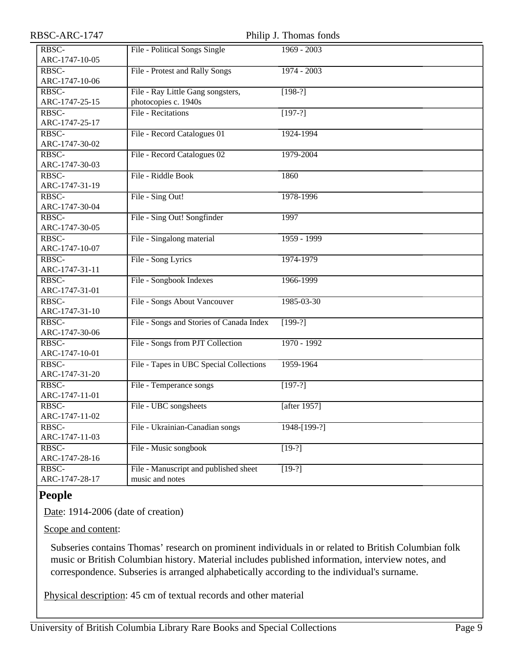| RBSC-ARC-1747             |                                          | Philip J. Thomas fonds |
|---------------------------|------------------------------------------|------------------------|
| RBSC-                     | File - Political Songs Single            | 1969 - 2003            |
| ARC-1747-10-05            |                                          |                        |
| RBSC-                     | File - Protest and Rally Songs           | $1974 - 2003$          |
| ARC-1747-10-06            |                                          |                        |
| RBSC-                     | File - Ray Little Gang songsters,        | $[198-?]$              |
| ARC-1747-25-15            | photocopies c. 1940s                     |                        |
| RBSC-                     | File - Recitations                       | $[197-?]$              |
| ARC-1747-25-17            |                                          |                        |
| RBSC-                     | File - Record Catalogues 01              | 1924-1994              |
| ARC-1747-30-02            |                                          |                        |
| RBSC-                     | File - Record Catalogues 02              | 1979-2004              |
| ARC-1747-30-03            |                                          |                        |
| RBSC-                     | File - Riddle Book                       | 1860                   |
| ARC-1747-31-19            |                                          |                        |
| RBSC-                     | File - Sing Out!                         | 1978-1996              |
| ARC-1747-30-04            |                                          |                        |
| RBSC-                     | File - Sing Out! Songfinder              | 1997                   |
| ARC-1747-30-05            |                                          |                        |
| RBSC-                     | File - Singalong material                | 1959 - 1999            |
| ARC-1747-10-07            |                                          |                        |
| RBSC-                     | File - Song Lyrics                       | 1974-1979              |
| ARC-1747-31-11            |                                          |                        |
| RBSC-                     | File - Songbook Indexes                  | 1966-1999              |
| ARC-1747-31-01            |                                          |                        |
| RBSC-                     | File - Songs About Vancouver             | 1985-03-30             |
| ARC-1747-31-10            |                                          |                        |
| RBSC-                     | File - Songs and Stories of Canada Index | $[199-?]$              |
| ARC-1747-30-06            |                                          |                        |
| $R\overline{\text{BSC-}}$ | File - Songs from PJT Collection         | 1970 - 1992            |
| ARC-1747-10-01            |                                          |                        |
| RBSC-                     | File - Tapes in UBC Special Collections  | 1959-1964              |
| ARC-1747-31-20            |                                          |                        |
| RBSC-                     | File - Temperance songs                  | $[197-?]$              |
| ARC-1747-11-01            |                                          |                        |
| RBSC-                     | File - UBC songsheets                    | [after 1957]           |
| ARC-1747-11-02            |                                          |                        |
| RBSC-                     | File - Ukrainian-Canadian songs          | 1948-[199-?]           |
| ARC-1747-11-03            |                                          |                        |
| RBSC-                     | File - Music songbook                    | $[19-?]$               |
| ARC-1747-28-16            |                                          |                        |
| RBSC-                     | File - Manuscript and published sheet    | $[19-?]$               |
| ARC-1747-28-17            | music and notes                          |                        |

## <span id="page-8-0"></span>**People**

Date: 1914-2006 (date of creation)

Scope and content:

Subseries contains Thomas' research on prominent individuals in or related to British Columbian folk music or British Columbian history. Material includes published information, interview notes, and correspondence. Subseries is arranged alphabetically according to the individual's surname.

Physical description: 45 cm of textual records and other material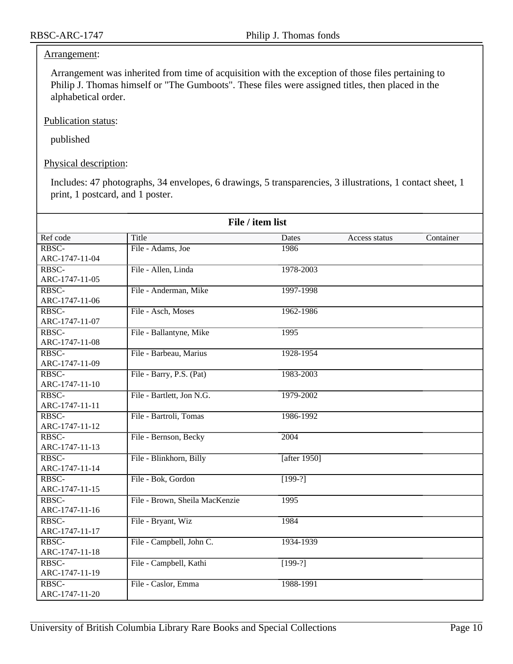#### Arrangement:

Arrangement was inherited from time of acquisition with the exception of those files pertaining to Philip J. Thomas himself or "The Gumboots". These files were assigned titles, then placed in the alphabetical order.

Publication status:

published

Physical description:

Includes: 47 photographs, 34 envelopes, 6 drawings, 5 transparencies, 3 illustrations, 1 contact sheet, 1 print, 1 postcard, and 1 poster.

|                         | File / item list               |                      |               |           |
|-------------------------|--------------------------------|----------------------|---------------|-----------|
| Ref code                | <b>Title</b>                   | Dates                | Access status | Container |
| RBSC-                   | File - Adams, Joe              | 1986                 |               |           |
| ARC-1747-11-04          |                                |                      |               |           |
| RBSC-                   | File - Allen, Linda            | 1978-2003            |               |           |
| ARC-1747-11-05          |                                |                      |               |           |
| RBSC-                   | File - Anderman, Mike          | 1997-1998            |               |           |
| ARC-1747-11-06          |                                |                      |               |           |
| RBSC-                   | File - Asch, Moses             | 1962-1986            |               |           |
| ARC-1747-11-07          |                                |                      |               |           |
| RBSC-                   | File - Ballantyne, Mike        | 1995                 |               |           |
| ARC-1747-11-08          |                                |                      |               |           |
| RBSC-                   | File - Barbeau, Marius         | 1928-1954            |               |           |
| ARC-1747-11-09          |                                |                      |               |           |
| RBSC-                   | File - Barry, P.S. (Pat)       | 1983-2003            |               |           |
| ARC-1747-11-10          |                                |                      |               |           |
| RBSC-                   | File - Bartlett, Jon N.G.      | 1979-2002            |               |           |
| ARC-1747-11-11          |                                |                      |               |           |
| RBSC-                   | File - Bartroli, Tomas         | 1986-1992            |               |           |
| ARC-1747-11-12          |                                |                      |               |           |
| RBSC-                   | File - Bernson, Becky          | 2004                 |               |           |
| ARC-1747-11-13          |                                |                      |               |           |
| RBSC-                   | File - Blinkhorn, Billy        | [after 1950]         |               |           |
| ARC-1747-11-14          |                                |                      |               |           |
| RBSC-                   | File - Bok, Gordon             | $\overline{[199-?]}$ |               |           |
| ARC-1747-11-15          |                                |                      |               |           |
| RBSC-                   | File - Brown, Sheila MacKenzie | 1995                 |               |           |
| ARC-1747-11-16          |                                |                      |               |           |
| RBSC-                   | File - Bryant, Wiz             | 1984                 |               |           |
| ARC-1747-11-17          |                                |                      |               |           |
| RBSC-<br>ARC-1747-11-18 | File - Campbell, John C.       | 1934-1939            |               |           |
|                         |                                |                      |               |           |
| RBSC-                   | File - Campbell, Kathi         | $[199-?]$            |               |           |
| ARC-1747-11-19<br>RBSC- |                                |                      |               |           |
|                         | File - Caslor, Emma            | 1988-1991            |               |           |
| ARC-1747-11-20          |                                |                      |               |           |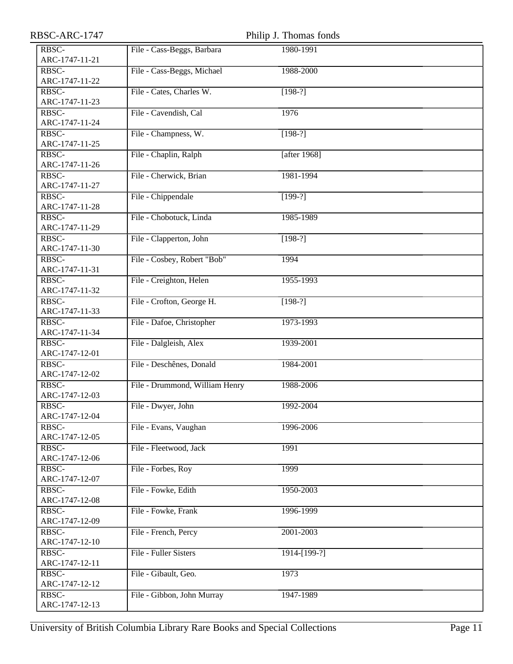| RBSC-ARC-1747           |                                | Philip J. Thomas fonds |  |
|-------------------------|--------------------------------|------------------------|--|
| RBSC-                   | File - Cass-Beggs, Barbara     | 1980-1991              |  |
| ARC-1747-11-21          |                                |                        |  |
| RBSC-                   | File - Cass-Beggs, Michael     | 1988-2000              |  |
| ARC-1747-11-22          |                                |                        |  |
| RBSC-                   | File - Cates, Charles W.       | $[198-?]$              |  |
| ARC-1747-11-23          |                                |                        |  |
| RBSC-                   | File - Cavendish, Cal          | 1976                   |  |
| ARC-1747-11-24          |                                |                        |  |
| RBSC-                   | File - Champness, W.           | $[198-?]$              |  |
| ARC-1747-11-25          |                                |                        |  |
| RBSC-                   | File - Chaplin, Ralph          | [after $1968$ ]        |  |
| ARC-1747-11-26          |                                |                        |  |
| RBSC-                   | File - Cherwick, Brian         | 1981-1994              |  |
| ARC-1747-11-27          |                                |                        |  |
| RBSC-                   | File - Chippendale             | $[199-?]$              |  |
| ARC-1747-11-28          |                                |                        |  |
| RBSC-                   | File - Chobotuck, Linda        | 1985-1989              |  |
| ARC-1747-11-29          |                                |                        |  |
| RBSC-                   | File - Clapperton, John        | $[198-?]$              |  |
| ARC-1747-11-30          |                                |                        |  |
| RBSC-                   | File - Cosbey, Robert "Bob"    | 1994                   |  |
| ARC-1747-11-31          |                                |                        |  |
| RBSC-                   | File - Creighton, Helen        | 1955-1993              |  |
| ARC-1747-11-32          |                                |                        |  |
| RBSC-                   | File - Crofton, George H.      | $[198-?]$              |  |
| ARC-1747-11-33          |                                |                        |  |
| RBSC-                   | File - Dafoe, Christopher      | 1973-1993              |  |
| ARC-1747-11-34          |                                |                        |  |
| RBSC-                   | File - Dalgleish, Alex         | 1939-2001              |  |
| ARC-1747-12-01          |                                |                        |  |
| RBSC-                   | File - Deschênes, Donald       | 1984-2001              |  |
| ARC-1747-12-02          |                                |                        |  |
| RBSC-                   | File - Drummond, William Henry | 1988-2006              |  |
| ARC-1747-12-03          |                                |                        |  |
| RBSC-                   | File - Dwyer, John             | 1992-2004              |  |
| ARC-1747-12-04          |                                |                        |  |
| RBSC-                   | File - Evans, Vaughan          | 1996-2006              |  |
| ARC-1747-12-05<br>RBSC- | File - Fleetwood, Jack         |                        |  |
| ARC-1747-12-06          |                                | 1991                   |  |
| RBSC-                   | File - Forbes, Roy             | 1999                   |  |
| ARC-1747-12-07          |                                |                        |  |
| RBSC-                   | File - Fowke, Edith            | 1950-2003              |  |
| ARC-1747-12-08          |                                |                        |  |
| RBSC-                   | File - Fowke, Frank            | 1996-1999              |  |
| ARC-1747-12-09          |                                |                        |  |
| RBSC-                   | File - French, Percy           | 2001-2003              |  |
| ARC-1747-12-10          |                                |                        |  |
| RBSC-                   | File - Fuller Sisters          | 1914-[199-?]           |  |
| ARC-1747-12-11          |                                |                        |  |
| RBSC-                   | File - Gibault, Geo.           | 1973                   |  |
| ARC-1747-12-12          |                                |                        |  |
| RBSC-                   | File - Gibbon, John Murray     | 1947-1989              |  |
| ARC-1747-12-13          |                                |                        |  |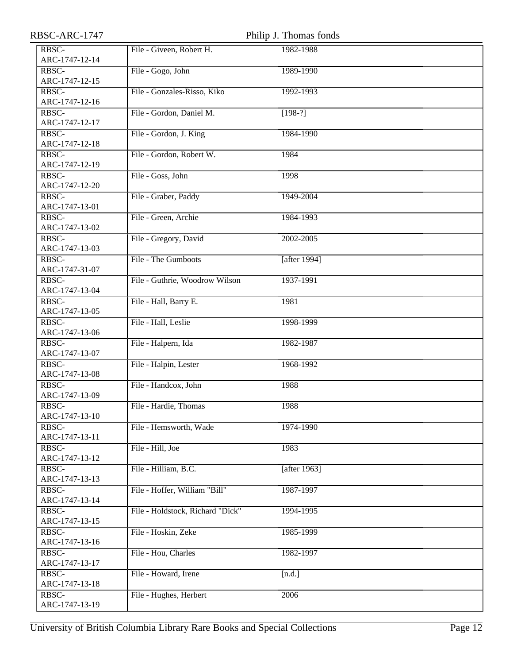| RBSC-ARC-1747  |                                  | Philip J. Thomas fonds |  |
|----------------|----------------------------------|------------------------|--|
| RBSC-          | File - Giveen, Robert H.         | 1982-1988              |  |
| ARC-1747-12-14 |                                  |                        |  |
| RBSC-          | File - Gogo, John                | 1989-1990              |  |
| ARC-1747-12-15 |                                  |                        |  |
| RBSC-          | File - Gonzales-Risso, Kiko      | 1992-1993              |  |
| ARC-1747-12-16 |                                  |                        |  |
| RBSC-          | File - Gordon, Daniel M.         | $[198-?]$              |  |
| ARC-1747-12-17 |                                  |                        |  |
| RBSC-          | File - Gordon, J. King           | 1984-1990              |  |
| ARC-1747-12-18 |                                  |                        |  |
| RBSC-          | File - Gordon, Robert W.         | 1984                   |  |
| ARC-1747-12-19 |                                  |                        |  |
| RBSC-          | File - Goss, John                | 1998                   |  |
| ARC-1747-12-20 |                                  |                        |  |
| RBSC-          | File - Graber, Paddy             | 1949-2004              |  |
| ARC-1747-13-01 |                                  |                        |  |
| RBSC-          | File - Green, Archie             | 1984-1993              |  |
| ARC-1747-13-02 |                                  |                        |  |
| RBSC-          | File - Gregory, David            | 2002-2005              |  |
| ARC-1747-13-03 |                                  |                        |  |
| RBSC-          | File - The Gumboots              | [after 1994]           |  |
| ARC-1747-31-07 |                                  |                        |  |
| RBSC-          | File - Guthrie, Woodrow Wilson   | 1937-1991              |  |
| ARC-1747-13-04 |                                  |                        |  |
| RBSC-          | File - Hall, Barry E.            | 1981                   |  |
| ARC-1747-13-05 |                                  |                        |  |
| RBSC-          | File - Hall, Leslie              | 1998-1999              |  |
| ARC-1747-13-06 |                                  |                        |  |
| RBSC-          | File - Halpern, Ida              | 1982-1987              |  |
| ARC-1747-13-07 |                                  |                        |  |
| RBSC-          | File - Halpin, Lester            | 1968-1992              |  |
| ARC-1747-13-08 |                                  |                        |  |
| RBSC-          | File - Handcox, John             | 1988                   |  |
| ARC-1747-13-09 |                                  |                        |  |
| RBSC-          | File - Hardie, Thomas            | 1988                   |  |
| ARC-1747-13-10 |                                  |                        |  |
| RBSC-          | File - Hemsworth, Wade           | 1974-1990              |  |
| ARC-1747-13-11 |                                  |                        |  |
| RBSC-          | File - Hill, Joe                 | 1983                   |  |
| ARC-1747-13-12 |                                  |                        |  |
| RBSC-          | File - Hilliam, B.C.             | [after 1963]           |  |
| ARC-1747-13-13 |                                  |                        |  |
| RBSC-          | File - Hoffer, William "Bill"    | 1987-1997              |  |
| ARC-1747-13-14 |                                  |                        |  |
| RBSC-          | File - Holdstock, Richard "Dick" | 1994-1995              |  |
| ARC-1747-13-15 |                                  |                        |  |
| RBSC-          | File - Hoskin, Zeke              | 1985-1999              |  |
| ARC-1747-13-16 |                                  |                        |  |
| RBSC-          | File - Hou, Charles              | 1982-1997              |  |
| ARC-1747-13-17 |                                  |                        |  |
| RBSC-          | File - Howard, Irene             | [n.d.]                 |  |
| ARC-1747-13-18 |                                  |                        |  |
| RBSC-          | File - Hughes, Herbert           | 2006                   |  |
| ARC-1747-13-19 |                                  |                        |  |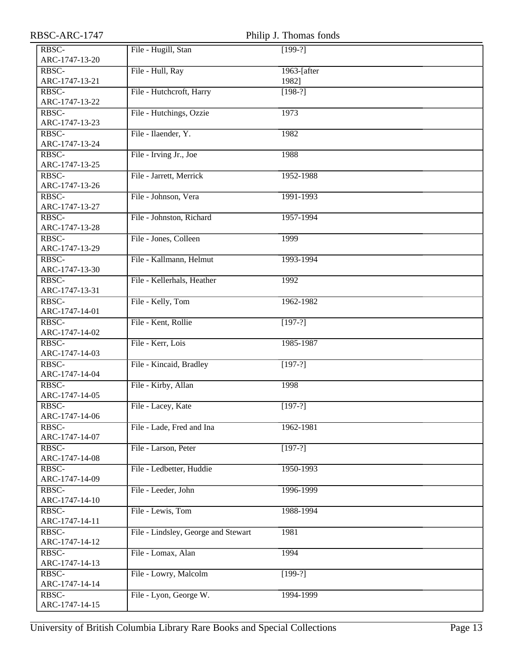| RBSC-ARC-1747           |                                     | Philip J. Thomas fonds |
|-------------------------|-------------------------------------|------------------------|
| RBSC-                   | File - Hugill, Stan                 | $[199-?]$              |
| ARC-1747-13-20          |                                     |                        |
| RBSC-                   | File - Hull, Ray                    | 1963-[after]           |
| ARC-1747-13-21          |                                     | 1982]                  |
| RBSC-                   | File - Hutchcroft, Harry            | $[198-?]$              |
| ARC-1747-13-22          |                                     |                        |
| RBSC-                   | File - Hutchings, Ozzie             | 1973                   |
| ARC-1747-13-23          |                                     |                        |
| RBSC-                   | File - Ilaender, Y.                 | 1982                   |
| ARC-1747-13-24          |                                     |                        |
| RBSC-                   | File - Irving Jr., Joe              | 1988                   |
| ARC-1747-13-25          |                                     |                        |
| RBSC-                   | File - Jarrett, Merrick             | 1952-1988              |
| ARC-1747-13-26          |                                     |                        |
| RBSC-                   | File - Johnson, Vera                | 1991-1993              |
| ARC-1747-13-27          |                                     |                        |
| RBSC-                   | File - Johnston, Richard            | 1957-1994              |
| ARC-1747-13-28          |                                     |                        |
| RBSC-                   | File - Jones, Colleen               | 1999                   |
| ARC-1747-13-29          |                                     |                        |
| RBSC-                   | File - Kallmann, Helmut             | 1993-1994              |
| ARC-1747-13-30          |                                     |                        |
| RBSC-                   | File - Kellerhals, Heather          | 1992                   |
| ARC-1747-13-31<br>RBSC- |                                     |                        |
| ARC-1747-14-01          | File - Kelly, Tom                   | 1962-1982              |
| RBSC-                   | File - Kent, Rollie                 | $[197-?]$              |
| ARC-1747-14-02          |                                     |                        |
| RBSC-                   | File - Kerr, Lois                   | 1985-1987              |
| ARC-1747-14-03          |                                     |                        |
| RBSC-                   | File - Kincaid, Bradley             | $[197-?]$              |
| ARC-1747-14-04          |                                     |                        |
| RBSC-                   | File - Kirby, Allan                 | 1998                   |
| ARC-1747-14-05          |                                     |                        |
| RBSC-                   | File - Lacey, Kate                  | $[197-?]$              |
| ARC-1747-14-06          |                                     |                        |
| RBSC-                   | File - Lade, Fred and Ina           | 1962-1981              |
| ARC-1747-14-07          |                                     |                        |
| RBSC-                   | File - Larson, Peter                | $[197-?]$              |
| ARC-1747-14-08          |                                     |                        |
| RBSC-                   | File - Ledbetter, Huddie            | 1950-1993              |
| ARC-1747-14-09          |                                     |                        |
| RBSC-                   | File - Leeder, John                 | 1996-1999              |
| ARC-1747-14-10          |                                     |                        |
| RBSC-                   | File - Lewis, Tom                   | 1988-1994              |
| ARC-1747-14-11          |                                     |                        |
| RBSC-                   | File - Lindsley, George and Stewart | 1981                   |
| ARC-1747-14-12          |                                     |                        |
| RBSC-                   | File - Lomax, Alan                  | 1994                   |
| ARC-1747-14-13          |                                     |                        |
| RBSC-                   | File - Lowry, Malcolm               | $[199-?]$              |
| ARC-1747-14-14<br>RBSC- |                                     | 1994-1999              |
| ARC-1747-14-15          | File - Lyon, George W.              |                        |
|                         |                                     |                        |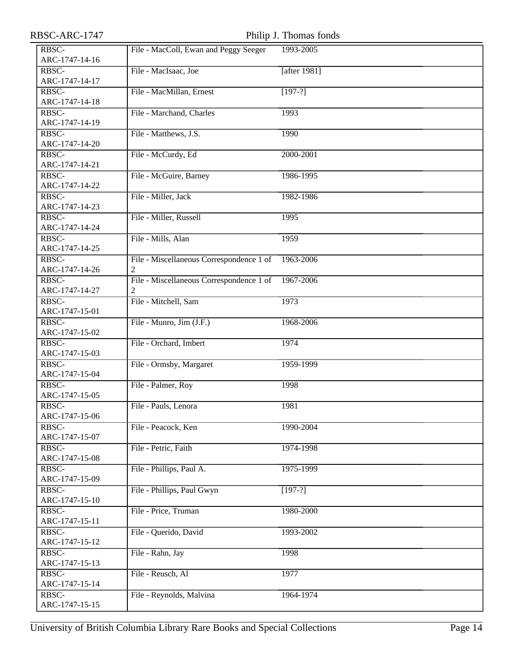Philip J. Thomas fonds

| RBSC-                   | File - MacColl, Ewan and Peggy Seeger         | 1993-2005    |
|-------------------------|-----------------------------------------------|--------------|
| ARC-1747-14-16<br>RBSC- | File - MacIsaac, Joe                          | [after 1981] |
| ARC-1747-14-17          |                                               |              |
| RBSC-                   | File - MacMillan, Ernest                      | $[197-?]$    |
| ARC-1747-14-18          |                                               |              |
| RBSC-                   | File - Marchand, Charles                      | 1993         |
| ARC-1747-14-19          |                                               |              |
| RBSC-                   | File - Matthews, J.S.                         | 1990         |
| ARC-1747-14-20          |                                               |              |
| RBSC-                   | File - McCurdy, Ed                            | 2000-2001    |
| ARC-1747-14-21          |                                               |              |
| RBSC-                   | File - McGuire, Barney                        | 1986-1995    |
| ARC-1747-14-22          |                                               |              |
| RBSC-                   | File - Miller, Jack                           | 1982-1986    |
| ARC-1747-14-23          |                                               |              |
| RBSC-                   | File - Miller, Russell                        | 1995         |
| ARC-1747-14-24          |                                               |              |
| RBSC-                   | File - Mills, Alan                            | 1959         |
| ARC-1747-14-25          |                                               |              |
| RBSC-                   | File - Miscellaneous Correspondence 1 of      | 1963-2006    |
| ARC-1747-14-26          | 2                                             | 1967-2006    |
| RBSC-<br>ARC-1747-14-27 | File - Miscellaneous Correspondence 1 of<br>2 |              |
| RBSC-                   | File - Mitchell, Sam                          | 1973         |
| ARC-1747-15-01          |                                               |              |
| RBSC-                   | File - Munro, Jim (J.F.)                      | 1968-2006    |
| ARC-1747-15-02          |                                               |              |
| RBSC-                   | File - Orchard, Imbert                        | 1974         |
| ARC-1747-15-03          |                                               |              |
| RBSC-                   | File - Ormsby, Margaret                       | 1959-1999    |
| ARC-1747-15-04          |                                               |              |
| RBSC-                   | File - Palmer, Roy                            | 1998         |
| ARC-1747-15-05          |                                               |              |
| RBSC-                   | File - Pauls, Lenora                          | 1981         |
| ARC-1747-15-06          |                                               |              |
| RBSC-                   | File - Peacock, Ken                           | 1990-2004    |
| ARC-1747-15-07          |                                               |              |
| RBSC-                   | File - Petric, Faith                          | 1974-1998    |
| ARC-1747-15-08          |                                               |              |
| RBSC-                   | File - Phillips, Paul A.                      | 1975-1999    |
| ARC-1747-15-09          |                                               |              |
| RBSC-                   | File - Phillips, Paul Gwyn                    | $[197-?]$    |
| ARC-1747-15-10          | File - Price, Truman                          | 1980-2000    |
| RBSC-<br>ARC-1747-15-11 |                                               |              |
| RBSC-                   | File - Querido, David                         | 1993-2002    |
| ARC-1747-15-12          |                                               |              |
| RBSC-                   | File - Rahn, Jay                              | 1998         |
| ARC-1747-15-13          |                                               |              |
| RBSC-                   | File - Reusch, Al                             | 1977         |
| ARC-1747-15-14          |                                               |              |
| RBSC-                   | File - Reynolds, Malvina                      | 1964-1974    |
| ARC-1747-15-15          |                                               |              |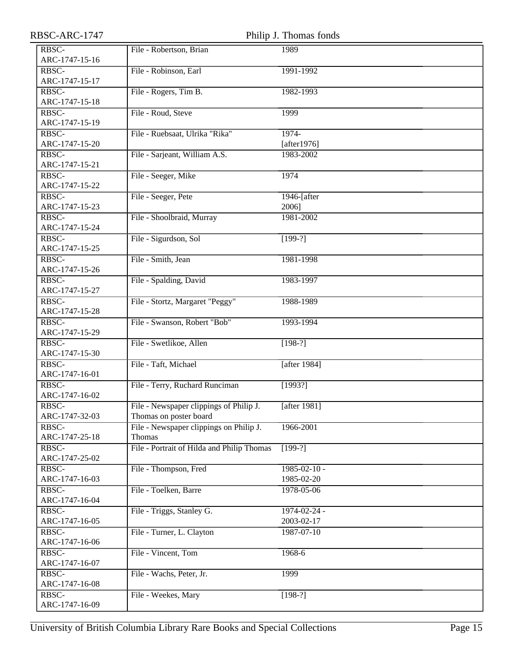| RBSC-ARC-1747 |  |
|---------------|--|
|---------------|--|

| RBSC-ARC-1747  | Philip J. Thomas fonds                     |                    |
|----------------|--------------------------------------------|--------------------|
| RBSC-          | File - Robertson, Brian                    | 1989               |
| ARC-1747-15-16 |                                            |                    |
| RBSC-          | File - Robinson, Earl                      | 1991-1992          |
| ARC-1747-15-17 |                                            |                    |
| RBSC-          | File - Rogers, Tim B.                      | 1982-1993          |
| ARC-1747-15-18 |                                            |                    |
| RBSC-          | File - Roud, Steve                         | 1999               |
| ARC-1747-15-19 |                                            |                    |
| RBSC-          | File - Ruebsaat, Ulrika "Rika"             | 1974-              |
| ARC-1747-15-20 |                                            | [after $1976$ ]    |
| RBSC-          | File - Sarjeant, William A.S.              | 1983-2002          |
| ARC-1747-15-21 |                                            |                    |
| RBSC-          | File - Seeger, Mike                        | 1974               |
| ARC-1747-15-22 |                                            |                    |
| RBSC-          | File - Seeger, Pete                        | 1946-[after        |
| ARC-1747-15-23 |                                            | 2006]              |
| RBSC-          | File - Shoolbraid, Murray                  | 1981-2002          |
| ARC-1747-15-24 |                                            |                    |
| RBSC-          | File - Sigurdson, Sol                      | $[199-?]$          |
| ARC-1747-15-25 |                                            |                    |
| RBSC-          | File - Smith, Jean                         | 1981-1998          |
| ARC-1747-15-26 |                                            |                    |
| RBSC-          | File - Spalding, David                     | 1983-1997          |
| ARC-1747-15-27 |                                            |                    |
| RBSC-          | File - Stortz, Margaret "Peggy"            | 1988-1989          |
| ARC-1747-15-28 |                                            |                    |
| RBSC-          | File - Swanson, Robert "Bob"               | 1993-1994          |
| ARC-1747-15-29 |                                            |                    |
| RBSC-          | File - Swetlikoe, Allen                    | $[198-?]$          |
| ARC-1747-15-30 |                                            |                    |
| RBSC-          | File - Taft, Michael                       | [after 1984]       |
| ARC-1747-16-01 |                                            |                    |
| RBSC-          | File - Terry, Ruchard Runciman             | [1993?]            |
| ARC-1747-16-02 |                                            |                    |
| RBSC-          | File - Newspaper clippings of Philip J.    | [after 1981]       |
| ARC-1747-32-03 | Thomas on poster board                     |                    |
| RBSC-          | File - Newspaper clippings on Philip J.    | 1966-2001          |
| ARC-1747-25-18 | <b>Thomas</b>                              |                    |
| RBSC-          | File - Portrait of Hilda and Philip Thomas | $[199-?]$          |
| ARC-1747-25-02 |                                            |                    |
| RBSC-          | File - Thompson, Fred                      | $1985 - 02 - 10$ - |
| ARC-1747-16-03 |                                            | 1985-02-20         |
| RBSC-          | File - Toelken, Barre                      | 1978-05-06         |
| ARC-1747-16-04 |                                            |                    |
| RBSC-          | File - Triggs, Stanley G.                  | $1974 - 02 - 24$ - |
| ARC-1747-16-05 |                                            | 2003-02-17         |
| RBSC-          | File - Turner, L. Clayton                  | 1987-07-10         |
| ARC-1747-16-06 |                                            |                    |
| RBSC-          | File - Vincent, Tom                        | 1968-6             |
| ARC-1747-16-07 |                                            |                    |
| RBSC-          | File - Wachs, Peter, Jr.                   | 1999               |
| ARC-1747-16-08 |                                            |                    |
| RBSC-          | File - Weekes, Mary                        | $[198-?]$          |
| ARC-1747-16-09 |                                            |                    |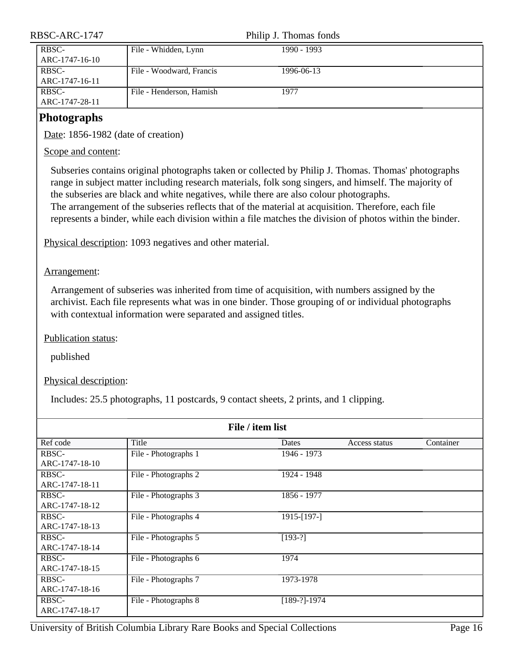| RBSC-ARC-1747           | Philip J. Thomas fonds   |             |  |
|-------------------------|--------------------------|-------------|--|
| RBSC-<br>ARC-1747-16-10 | File - Whidden, Lynn     | 1990 - 1993 |  |
| RBSC-<br>ARC-1747-16-11 | File - Woodward, Francis | 1996-06-13  |  |
| RBSC-<br>ARC-1747-28-11 | File - Henderson, Hamish | 1977        |  |
| Photographs             |                          |             |  |

#### <span id="page-15-0"></span>**Photographs**

Date: 1856-1982 (date of creation)

Scope and content:

Subseries contains original photographs taken or collected by Philip J. Thomas. Thomas' photographs range in subject matter including research materials, folk song singers, and himself. The majority of the subseries are black and white negatives, while there are also colour photographs. The arrangement of the subseries reflects that of the material at acquisition. Therefore, each file represents a binder, while each division within a file matches the division of photos within the binder.

Physical description: 1093 negatives and other material.

Arrangement:

Arrangement of subseries was inherited from time of acquisition, with numbers assigned by the archivist. Each file represents what was in one binder. Those grouping of or individual photographs with contextual information were separated and assigned titles.

Publication status:

published

Physical description:

Includes: 25.5 photographs, 11 postcards, 9 contact sheets, 2 prints, and 1 clipping.

| File / item list |                      |                  |               |           |
|------------------|----------------------|------------------|---------------|-----------|
| Ref code         | Title                | Dates            | Access status | Container |
| RBSC-            | File - Photographs 1 | 1946 - 1973      |               |           |
| ARC-1747-18-10   |                      |                  |               |           |
| RBSC-            | File - Photographs 2 | 1924 - 1948      |               |           |
| ARC-1747-18-11   |                      |                  |               |           |
| RBSC-            | File - Photographs 3 | 1856 - 1977      |               |           |
| ARC-1747-18-12   |                      |                  |               |           |
| RBSC-            | File - Photographs 4 | 1915-[197-]      |               |           |
| ARC-1747-18-13   |                      |                  |               |           |
| RBSC-            | File - Photographs 5 | $[193-?]$        |               |           |
| ARC-1747-18-14   |                      |                  |               |           |
| RBSC-            | File - Photographs 6 | 1974             |               |           |
| ARC-1747-18-15   |                      |                  |               |           |
| RBSC-            | File - Photographs 7 | 1973-1978        |               |           |
| ARC-1747-18-16   |                      |                  |               |           |
| RBSC-            | File - Photographs 8 | $[189-?] - 1974$ |               |           |
| ARC-1747-18-17   |                      |                  |               |           |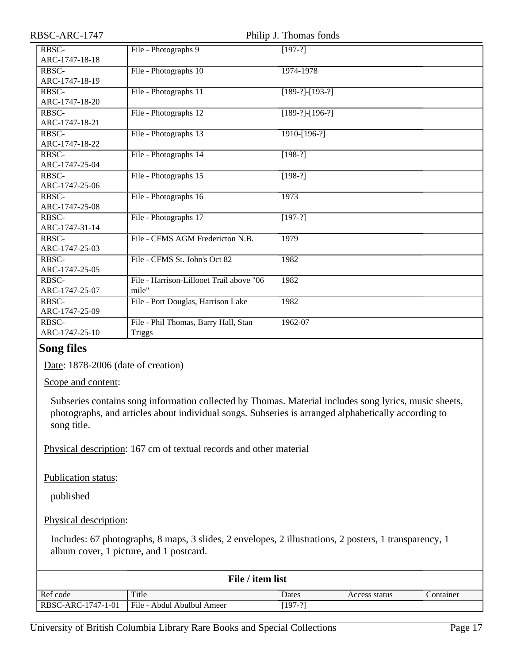| RBSC-ARC-1747           |                                                       | Philip J. Thomas fonds |
|-------------------------|-------------------------------------------------------|------------------------|
| RBSC-<br>ARC-1747-18-18 | File - Photographs 9                                  | $[197-?]$              |
| RBSC-<br>ARC-1747-18-19 | File - Photographs 10                                 | 1974-1978              |
| RBSC-<br>ARC-1747-18-20 | File - Photographs 11                                 | $[189-?]-[193-?]$      |
| RBSC-<br>ARC-1747-18-21 | File - Photographs 12                                 | $[189-?]-[196-?]$      |
| RBSC-<br>ARC-1747-18-22 | File - Photographs 13                                 | 1910-[196-?]           |
| RBSC-<br>ARC-1747-25-04 | File - Photographs 14                                 | $[198-?]$              |
| RBSC-<br>ARC-1747-25-06 | File - Photographs 15                                 | $[198-?]$              |
| RBSC-<br>ARC-1747-25-08 | File - Photographs 16                                 | 1973                   |
| RBSC-<br>ARC-1747-31-14 | File - Photographs 17                                 | $[197-?]$              |
| RBSC-<br>ARC-1747-25-03 | File - CFMS AGM Fredericton N.B.                      | 1979                   |
| RBSC-<br>ARC-1747-25-05 | File - CFMS St. John's Oct 82                         | 1982                   |
| RBSC-<br>ARC-1747-25-07 | File - Harrison-Lillooet Trail above "06<br>mile"     | 1982                   |
| RBSC-<br>ARC-1747-25-09 | File - Port Douglas, Harrison Lake                    | 1982                   |
| RBSC-<br>ARC-1747-25-10 | File - Phil Thomas, Barry Hall, Stan<br><b>Triggs</b> | 1962-07                |
| $\sim$ $\sim$ $\sim$    |                                                       |                        |

#### <span id="page-16-0"></span>**Song files**

Date: 1878-2006 (date of creation)

Scope and content:

Subseries contains song information collected by Thomas. Material includes song lyrics, music sheets, photographs, and articles about individual songs. Subseries is arranged alphabetically according to song title.

Physical description: 167 cm of textual records and other material

Publication status:

published

Physical description:

Includes: 67 photographs, 8 maps, 3 slides, 2 envelopes, 2 illustrations, 2 posters, 1 transparency, 1 album cover, 1 picture, and 1 postcard.

| File / item list   |                            |           |               |           |
|--------------------|----------------------------|-----------|---------------|-----------|
| Ref code           | Title                      | Dates     | Access status | Container |
| RBSC-ARC-1747-1-01 | File - Abdul Abulbul Ameer | $[197-?]$ |               |           |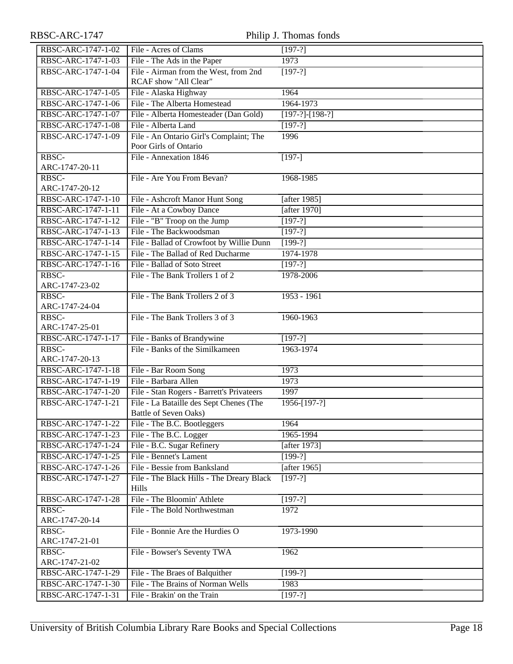| RBSC-ARC-1747           |                                           | Philip J. Thomas fonds |
|-------------------------|-------------------------------------------|------------------------|
| RBSC-ARC-1747-1-02      | File - Acres of Clams                     | $[197-?]$              |
| RBSC-ARC-1747-1-03      | File - The Ads in the Paper               | 1973                   |
| RBSC-ARC-1747-1-04      | File - Airman from the West, from 2nd     | $[197-?]$              |
|                         | RCAF show "All Clear"                     |                        |
| RBSC-ARC-1747-1-05      | File - Alaska Highway                     | 1964                   |
| RBSC-ARC-1747-1-06      | File - The Alberta Homestead              | 1964-1973              |
| RBSC-ARC-1747-1-07      | File - Alberta Homesteader (Dan Gold)     | $[197-?]-[198-?]$      |
| RBSC-ARC-1747-1-08      | File - Alberta Land                       | $[197-?]$              |
| RBSC-ARC-1747-1-09      | File - An Ontario Girl's Complaint; The   | 1996                   |
|                         | Poor Girls of Ontario                     |                        |
| RBSC-                   | File - Annexation 1846                    | $\sqrt{197-1}$         |
| ARC-1747-20-11          |                                           |                        |
| RBSC-                   | File - Are You From Bevan?                | 1968-1985              |
| ARC-1747-20-12          |                                           |                        |
| RBSC-ARC-1747-1-10      | File - Ashcroft Manor Hunt Song           | [after 1985]           |
| RBSC-ARC-1747-1-11      | File - At a Cowboy Dance                  | [after 1970]           |
| RBSC-ARC-1747-1-12      | File - "B" Troop on the Jump              | $[1\overline{97-?}]$   |
| RBSC-ARC-1747-1-13      | File - The Backwoodsman                   | $[197-?]$              |
| RBSC-ARC-1747-1-14      | File - Ballad of Crowfoot by Willie Dunn  | $[199-?]$              |
| RBSC-ARC-1747-1-15      | File - The Ballad of Red Ducharme         | 1974-1978              |
| RBSC-ARC-1747-1-16      | File - Ballad of Soto Street              | $[197-?]$              |
| RBSC-                   | File - The Bank Trollers 1 of 2           | 1978-2006              |
| ARC-1747-23-02          |                                           |                        |
| RBSC-                   | File - The Bank Trollers 2 of 3           | $1953 - 1961$          |
| ARC-1747-24-04          |                                           |                        |
| RBSC-<br>ARC-1747-25-01 | File - The Bank Trollers 3 of 3           | 1960-1963              |
| RBSC-ARC-1747-1-17      | File - Banks of Brandywine                | $[197-?]$              |
| RBSC-                   | File - Banks of the Similkameen           | 1963-1974              |
| ARC-1747-20-13          |                                           |                        |
| RBSC-ARC-1747-1-18      | File - Bar Room Song                      | 1973                   |
| RBSC-ARC-1747-1-19      | File - Barbara Allen                      | 1973                   |
| RBSC-ARC-1747-1-20      | File - Stan Rogers - Barrett's Privateers | 1997                   |
| RBSC-ARC-1747-1-21      | File - La Bataille des Sept Chenes (The   | $1956 - [197-?]$       |
|                         | Battle of Seven Oaks)                     |                        |
| RBSC-ARC-1747-1-22      | File - The B.C. Bootleggers               | 1964                   |
| RBSC-ARC-1747-1-23      | File - The B.C. Logger                    | 1965-1994              |
| RBSC-ARC-1747-1-24      | File - B.C. Sugar Refinery                | [after 1973]           |
| RBSC-ARC-1747-1-25      | File - Bennet's Lament                    | $[199-?]$              |
| RBSC-ARC-1747-1-26      | File - Bessie from Banksland              | [after 1965]           |
| RBSC-ARC-1747-1-27      | File - The Black Hills - The Dreary Black | $[197-?]$              |
|                         | Hills                                     |                        |
| RBSC-ARC-1747-1-28      | File - The Bloomin' Athlete               | $[197-?]$              |
| RBSC-                   | File - The Bold Northwestman              | 1972                   |
| ARC-1747-20-14          |                                           |                        |
| RBSC-                   | File - Bonnie Are the Hurdies O           | 1973-1990              |
| ARC-1747-21-01          |                                           |                        |
| RBSC-                   | File - Bowser's Seventy TWA               | 1962                   |
| ARC-1747-21-02          |                                           |                        |
| RBSC-ARC-1747-1-29      | File - The Braes of Balquither            | $[199-?]$              |
| RBSC-ARC-1747-1-30      | File - The Brains of Norman Wells         | 1983                   |
| RBSC-ARC-1747-1-31      | File - Brakin' on the Train               | $[197-?]$              |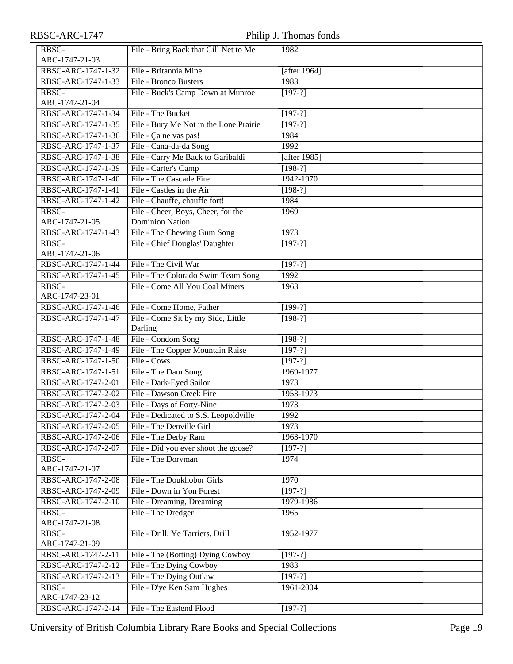### RBSC-ARC-1747 Philip J. Thomas fonds

| RBSC-              | File - Bring Back that Gill Net to Me  | 1982            |
|--------------------|----------------------------------------|-----------------|
| ARC-1747-21-03     |                                        |                 |
| RBSC-ARC-1747-1-32 | File - Britannia Mine                  | [after $1964$ ] |
| RBSC-ARC-1747-1-33 | File - Bronco Busters                  | 1983            |
| RBSC-              | File - Buck's Camp Down at Munroe      | $[197-?]$       |
| ARC-1747-21-04     |                                        |                 |
| RBSC-ARC-1747-1-34 | File - The Bucket                      | $[197-?]$       |
| RBSC-ARC-1747-1-35 | File - Bury Me Not in the Lone Prairie | $[197-?]$       |
| RBSC-ARC-1747-1-36 | File - Ça ne vas pas!                  | 1984            |
| RBSC-ARC-1747-1-37 | File - Cana-da-da Song                 | 1992            |
| RBSC-ARC-1747-1-38 | File - Carry Me Back to Garibaldi      | [after 1985]    |
| RBSC-ARC-1747-1-39 | File - Carter's Camp                   | $[198-?]$       |
| RBSC-ARC-1747-1-40 | File - The Cascade Fire                | 1942-1970       |
| RBSC-ARC-1747-1-41 | File - Castles in the Air              | $[198-?]$       |
| RBSC-ARC-1747-1-42 | File - Chauffe, chauffe fort!          | 1984            |
| RBSC-              | File - Cheer, Boys, Cheer, for the     | 1969            |
| ARC-1747-21-05     | <b>Dominion Nation</b>                 |                 |
| RBSC-ARC-1747-1-43 | File - The Chewing Gum Song            | 1973            |
| RBSC-              | File - Chief Douglas' Daughter         | $[197-?]$       |
| ARC-1747-21-06     |                                        |                 |
| RBSC-ARC-1747-1-44 | File - The Civil War                   | $[197-?]$       |
| RBSC-ARC-1747-1-45 | File - The Colorado Swim Team Song     | 1992            |
| RBSC-              | File - Come All You Coal Miners        | 1963            |
| ARC-1747-23-01     |                                        |                 |
| RBSC-ARC-1747-1-46 | File - Come Home, Father               | $[199-?]$       |
| RBSC-ARC-1747-1-47 | File - Come Sit by my Side, Little     | $[198-?]$       |
|                    | Darling                                |                 |
| RBSC-ARC-1747-1-48 | File - Condom Song                     | $[198-?]$       |
| RBSC-ARC-1747-1-49 | File - The Copper Mountain Raise       | $[197-?]$       |
| RBSC-ARC-1747-1-50 | File - Cows                            | $[197-?]$       |
| RBSC-ARC-1747-1-51 | File - The Dam Song                    | 1969-1977       |
| RBSC-ARC-1747-2-01 | File - Dark-Eyed Sailor                | 1973            |
| RBSC-ARC-1747-2-02 | File - Dawson Creek Fire               | 1953-1973       |
| RBSC-ARC-1747-2-03 | File - Days of Forty-Nine              | 1973            |
| RBSC-ARC-1747-2-04 | File - Dedicated to S.S. Leopoldville  | 1992            |
| RBSC-ARC-1747-2-05 | File - The Denville Girl               | 1973            |
| RBSC-ARC-1747-2-06 | File - The Derby Ram                   | 1963-1970       |
| RBSC-ARC-1747-2-07 | File - Did you ever shoot the goose?   | $[197-?]$       |
| RBSC-              | File - The Doryman                     | 1974            |
| ARC-1747-21-07     |                                        |                 |
| RBSC-ARC-1747-2-08 | File - The Doukhobor Girls             | 1970            |
| RBSC-ARC-1747-2-09 | File - Down in Yon Forest              | $[197-?]$       |
| RBSC-ARC-1747-2-10 | File - Dreaming, Dreaming              | 1979-1986       |
| RBSC-              | File - The Dredger                     | 1965            |
| ARC-1747-21-08     |                                        |                 |
| RBSC-              | File - Drill, Ye Tarriers, Drill       | 1952-1977       |
| ARC-1747-21-09     |                                        |                 |
| RBSC-ARC-1747-2-11 | File - The (Botting) Dying Cowboy      | $[197-?]$       |
| RBSC-ARC-1747-2-12 | File - The Dying Cowboy                | 1983            |
| RBSC-ARC-1747-2-13 | File - The Dying Outlaw                | $[197-?]$       |
| RBSC-              | File - D'ye Ken Sam Hughes             | 1961-2004       |
| ARC-1747-23-12     |                                        |                 |
| RBSC-ARC-1747-2-14 | File - The Eastend Flood               | $[197-?]$       |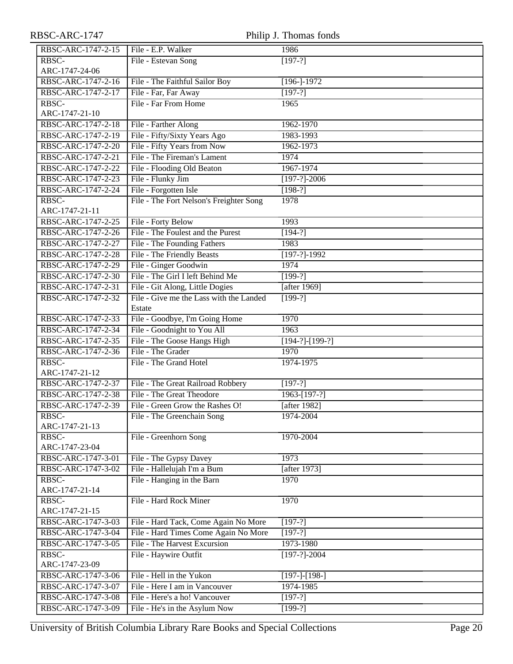| RBSC-ARC-1747           |                                         | Philip J. Thomas fonds        |
|-------------------------|-----------------------------------------|-------------------------------|
| RBSC-ARC-1747-2-15      | File - E.P. Walker                      | 1986                          |
| RBSC-                   | File - Estevan Song                     | $[197-?]$                     |
| ARC-1747-24-06          |                                         |                               |
| RBSC-ARC-1747-2-16      | File - The Faithful Sailor Boy          | $[196 - ]-1972$               |
| RBSC-ARC-1747-2-17      | File - Far, Far Away                    | $[197-?]$                     |
| RBSC-                   | File - Far From Home                    | 1965                          |
| ARC-1747-21-10          |                                         |                               |
| RBSC-ARC-1747-2-18      | File - Farther Along                    | 1962-1970                     |
| RBSC-ARC-1747-2-19      | File - Fifty/Sixty Years Ago            | 1983-1993                     |
| RBSC-ARC-1747-2-20      | File - Fifty Years from Now             | 1962-1973                     |
| RBSC-ARC-1747-2-21      | File - The Fireman's Lament             | 1974                          |
| RBSC-ARC-1747-2-22      | File - Flooding Old Beaton              | 1967-1974                     |
| RBSC-ARC-1747-2-23      | File - Flunky Jim                       | $[197-?]-2006$                |
| RBSC-ARC-1747-2-24      | File - Forgotten Isle                   | $[198-?]$                     |
| RBSC-                   | File - The Fort Nelson's Freighter Song | 1978                          |
| ARC-1747-21-11          |                                         |                               |
| RBSC-ARC-1747-2-25      | File - Forty Below                      | 1993                          |
| RBSC-ARC-1747-2-26      | File - The Foulest and the Purest       | $[194-?]$                     |
| RBSC-ARC-1747-2-27      | File - The Founding Fathers             | 1983                          |
| RBSC-ARC-1747-2-28      | File - The Friendly Beasts              | $[197-?]-1992$                |
| RBSC-ARC-1747-2-29      | File - Ginger Goodwin                   | 1974                          |
| RBSC-ARC-1747-2-30      | File - The Girl I left Behind Me        | $[199-?]$                     |
| RBSC-ARC-1747-2-31      | File - Git Along, Little Dogies         | [after 1969]                  |
| RBSC-ARC-1747-2-32      | File - Give me the Lass with the Landed | $[199-?]$                     |
|                         | Estate                                  |                               |
| RBSC-ARC-1747-2-33      | File - Goodbye, I'm Going Home          | 1970                          |
| RBSC-ARC-1747-2-34      | File - Goodnight to You All             | 1963                          |
| RBSC-ARC-1747-2-35      | File - The Goose Hangs High             | $[194-?]-[199-?]$             |
| RBSC-ARC-1747-2-36      | File - The Grader                       | 1970                          |
| RBSC-<br>ARC-1747-21-12 | File - The Grand Hotel                  | 1974-1975                     |
| RBSC-ARC-1747-2-37      | File - The Great Railroad Robbery       |                               |
| RBSC-ARC-1747-2-38      | File - The Great Theodore               | $[197-?]$<br>$1963 - [197-?]$ |
| RBSC-ARC-1747-2-39      | File - Green Grow the Rashes O!         | $[$ after 1982]               |
| RBSC-                   | File - The Greenchain Song              | 1974-2004                     |
| ARC-1747-21-13          |                                         |                               |
| RBSC-                   | File - Greenhorn Song                   | 1970-2004                     |
| ARC-1747-23-04          |                                         |                               |
| RBSC-ARC-1747-3-01      | File - The Gypsy Davey                  | 1973                          |
| RBSC-ARC-1747-3-02      | File - Hallelujah I'm a Bum             | [after $1973$ ]               |
| RBSC-                   | File - Hanging in the Barn              | 1970                          |
| ARC-1747-21-14          |                                         |                               |
| RBSC-                   | File - Hard Rock Miner                  | 1970                          |
| ARC-1747-21-15          |                                         |                               |
| RBSC-ARC-1747-3-03      | File - Hard Tack, Come Again No More    | $[197-?]$                     |
| RBSC-ARC-1747-3-04      | File - Hard Times Come Again No More    | $[197-?]$                     |
| RBSC-ARC-1747-3-05      | File - The Harvest Excursion            | 1973-1980                     |
| RBSC-                   | File - Haywire Outfit                   | $[197-?]-2004$                |
| ARC-1747-23-09          |                                         |                               |
| RBSC-ARC-1747-3-06      | File - Hell in the Yukon                | $[197-]-[198-]$               |
| RBSC-ARC-1747-3-07      | File - Here I am in Vancouver           | 1974-1985                     |
| RBSC-ARC-1747-3-08      | File - Here's a ho! Vancouver           | $[197-?]$                     |
| RBSC-ARC-1747-3-09      | File - He's in the Asylum Now           | $[199-?]$                     |

University of British Columbia Library Rare Books and Special Collections Page 20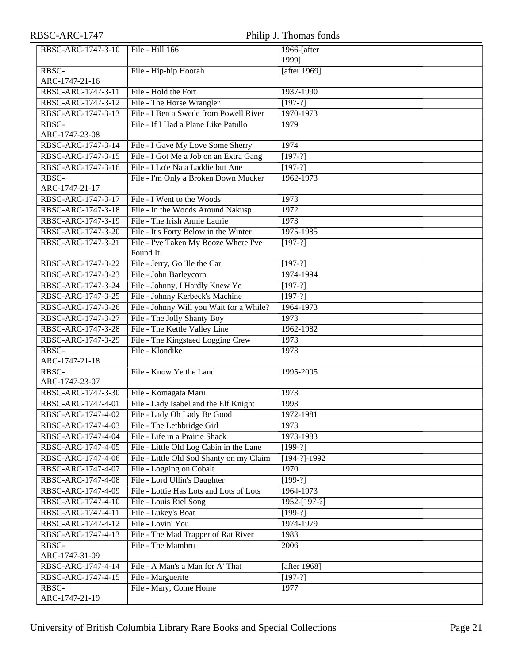| RBSC-ARC-1747 |
|---------------|
|---------------|

| RBSC-ARC-1747                            |                                                                             | Philip J. Thomas fonds |
|------------------------------------------|-----------------------------------------------------------------------------|------------------------|
| RBSC-ARC-1747-3-10                       | File - Hill 166                                                             | 1966-[after            |
|                                          |                                                                             | 1999]                  |
| RBSC-                                    | File - Hip-hip Hoorah                                                       | [after 1969]           |
| ARC-1747-21-16                           |                                                                             |                        |
| RBSC-ARC-1747-3-11                       | File - Hold the Fort                                                        | 1937-1990              |
| RBSC-ARC-1747-3-12                       | File - The Horse Wrangler                                                   | $[197-?]$              |
| RBSC-ARC-1747-3-13                       | File - I Ben a Swede from Powell River                                      | 1970-1973              |
| RBSC-                                    | File - If I Had a Plane Like Patullo                                        | 1979                   |
| ARC-1747-23-08                           |                                                                             |                        |
| RBSC-ARC-1747-3-14                       | File - I Gave My Love Some Sherry<br>File - I Got Me a Job on an Extra Gang | 1974                   |
| RBSC-ARC-1747-3-15<br>RBSC-ARC-1747-3-16 | File - I Lo'e Na a Laddie but Ane                                           | $[197-?]$              |
| RBSC-                                    |                                                                             | $[197-?]$<br>1962-1973 |
| ARC-1747-21-17                           | File - I'm Only a Broken Down Mucker                                        |                        |
| RBSC-ARC-1747-3-17                       | File - I Went to the Woods                                                  | 1973                   |
| RBSC-ARC-1747-3-18                       | File - In the Woods Around Nakusp                                           | 1972                   |
| RBSC-ARC-1747-3-19                       | File - The Irish Annie Laurie                                               | 1973                   |
| RBSC-ARC-1747-3-20                       | File - It's Forty Below in the Winter                                       | 1975-1985              |
| RBSC-ARC-1747-3-21                       | File - I've Taken My Booze Where I've                                       | $[197-?]$              |
|                                          | Found It                                                                    |                        |
| RBSC-ARC-1747-3-22                       | File - Jerry, Go 'Ile the Car                                               | $[197-?]$              |
| RBSC-ARC-1747-3-23                       | File - John Barleycorn                                                      | 1974-1994              |
| RBSC-ARC-1747-3-24                       | File - Johnny, I Hardly Knew Ye                                             | $[197-?]$              |
| RBSC-ARC-1747-3-25                       | File - Johnny Kerbeck's Machine                                             | $[197-?]$              |
| RBSC-ARC-1747-3-26                       | File - Johnny Will you Wait for a While?                                    | 1964-1973              |
| RBSC-ARC-1747-3-27                       | File - The Jolly Shanty Boy                                                 | 1973                   |
| RBSC-ARC-1747-3-28                       | File - The Kettle Valley Line                                               | 1962-1982              |
| RBSC-ARC-1747-3-29                       | File - The Kingstaed Logging Crew                                           | 1973                   |
| RBSC-                                    | File - Klondike                                                             | 1973                   |
| ARC-1747-21-18                           |                                                                             |                        |
| RBSC-                                    | File - Know Ye the Land                                                     | 1995-2005              |
| ARC-1747-23-07                           |                                                                             |                        |
| RBSC-ARC-1747-3-30                       | File - Komagata Maru                                                        | 1973                   |
| RBSC-ARC-1747-4-01                       | File - Lady Isabel and the Elf Knight                                       | 1993                   |
| RBSC-ARC-1747-4-02                       | File - Lady Oh Lady Be Good                                                 | 1972-1981              |
| RBSC-ARC-1747-4-03                       | File - The Lethbridge Girl                                                  | 1973                   |
| RBSC-ARC-1747-4-04                       | File - Life in a Prairie Shack                                              | 1973-1983              |
| RBSC-ARC-1747-4-05                       | File - Little Old Log Cabin in the Lane                                     | $[199-?]$              |
| RBSC-ARC-1747-4-06                       | File - Little Old Sod Shanty on my Claim                                    | $[194-?]-1992$         |
| RBSC-ARC-1747-4-07                       | File - Logging on Cobalt                                                    | 1970                   |
| RBSC-ARC-1747-4-08                       | File - Lord Ullin's Daughter                                                | $[199-?]$              |
| RBSC-ARC-1747-4-09                       | File - Lottie Has Lots and Lots of Lots                                     | 1964-1973              |
| RBSC-ARC-1747-4-10                       | File - Louis Riel Song                                                      | 1952-[197-?]           |
| RBSC-ARC-1747-4-11                       | File - Lukey's Boat                                                         | $[199-?]$              |
| RBSC-ARC-1747-4-12                       | File - Lovin' You                                                           | 1974-1979              |
| RBSC-ARC-1747-4-13                       | File - The Mad Trapper of Rat River                                         | 1983                   |
| RBSC-                                    | File - The Mambru                                                           | 2006                   |
| ARC-1747-31-09                           |                                                                             |                        |
| RBSC-ARC-1747-4-14                       | File - A Man's a Man for A' That                                            | [after 1968]           |
| RBSC-ARC-1747-4-15                       | File - Marguerite                                                           | $[197-7]$              |
| RBSC-<br>ARC-1747-21-19                  | File - Mary, Come Home                                                      | 1977                   |
|                                          |                                                                             |                        |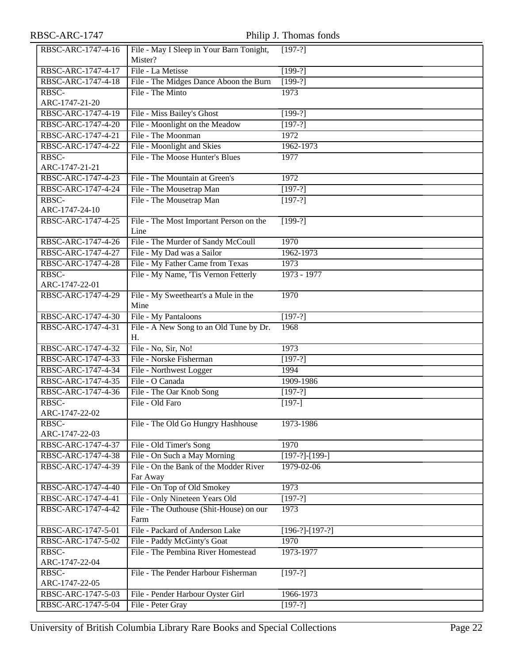| RBSC-ARC-1747-4-16 | File - May I Sleep in Your Barn Tonight,     | $[197-?]$         |
|--------------------|----------------------------------------------|-------------------|
|                    | Mister?                                      |                   |
| RBSC-ARC-1747-4-17 | File - La Metisse                            | $[199-?]$         |
| RBSC-ARC-1747-4-18 | File - The Midges Dance Aboon the Burn       | $[199-?]$         |
| RBSC-              | File - The Minto                             | 1973              |
| ARC-1747-21-20     |                                              |                   |
| RBSC-ARC-1747-4-19 | File - Miss Bailey's Ghost                   | $[199-?]$         |
| RBSC-ARC-1747-4-20 | File - Moonlight on the Meadow               | $[197-?]$         |
| RBSC-ARC-1747-4-21 | File - The Moonman                           | 1972              |
| RBSC-ARC-1747-4-22 | File - Moonlight and Skies                   | 1962-1973         |
| RBSC-              | File - The Moose Hunter's Blues              | 1977              |
| ARC-1747-21-21     |                                              |                   |
| RBSC-ARC-1747-4-23 | File - The Mountain at Green's               | 1972              |
| RBSC-ARC-1747-4-24 | File - The Mousetrap Man                     | $[197-?]$         |
| RBSC-              | File - The Mousetrap Man                     | $[197-?]$         |
| ARC-1747-24-10     |                                              |                   |
| RBSC-ARC-1747-4-25 | File - The Most Important Person on the      | $[199-?]$         |
|                    | Line                                         |                   |
| RBSC-ARC-1747-4-26 | File - The Murder of Sandy McCoull           | 1970              |
| RBSC-ARC-1747-4-27 | File - My Dad was a Sailor                   | 1962-1973         |
| RBSC-ARC-1747-4-28 | File - My Father Came from Texas             | 1973              |
| RBSC-              | File - My Name, 'Tis Vernon Fetterly         | 1973 - 1977       |
| ARC-1747-22-01     |                                              |                   |
| RBSC-ARC-1747-4-29 | File - My Sweetheart's a Mule in the<br>Mine | 1970              |
| RBSC-ARC-1747-4-30 | File - My Pantaloons                         | $[197-?]$         |
| RBSC-ARC-1747-4-31 | File - A New Song to an Old Tune by Dr.      | 1968              |
|                    | H.                                           |                   |
| RBSC-ARC-1747-4-32 | File - No, Sir, No!                          | 1973              |
| RBSC-ARC-1747-4-33 | File - Norske Fisherman                      | $[197-?]$         |
| RBSC-ARC-1747-4-34 | File - Northwest Logger                      | 1994              |
| RBSC-ARC-1747-4-35 | File - O Canada                              | 1909-1986         |
| RBSC-ARC-1747-4-36 | File - The Oar Knob Song                     | $[197-?]$         |
| RBSC-              | File - Old Faro                              | $[197-]$          |
| ARC-1747-22-02     |                                              |                   |
| RBSC-              | File - The Old Go Hungry Hashhouse           | 1973-1986         |
| ARC-1747-22-03     |                                              |                   |
| RBSC-ARC-1747-4-37 | File - Old Timer's Song                      | 1970              |
| RBSC-ARC-1747-4-38 | File - On Such a May Morning                 | $[197-?]$ -[199-] |
| RBSC-ARC-1747-4-39 | File - On the Bank of the Modder River       | 1979-02-06        |
|                    | Far Away                                     |                   |
| RBSC-ARC-1747-4-40 | File - On Top of Old Smokey                  | 1973              |
| RBSC-ARC-1747-4-41 | File - Only Nineteen Years Old               | $[197-?]$         |
| RBSC-ARC-1747-4-42 | File - The Outhouse (Shit-House) on our      | 1973              |
|                    | Farm                                         |                   |
| RBSC-ARC-1747-5-01 | File - Packard of Anderson Lake              | $[196-?]-[197-?]$ |
| RBSC-ARC-1747-5-02 | File - Paddy McGinty's Goat                  | 1970              |
| RBSC-              | File - The Pembina River Homestead           | 1973-1977         |
| ARC-1747-22-04     |                                              |                   |
| RBSC-              | File - The Pender Harbour Fisherman          | $[197-?]$         |
| ARC-1747-22-05     |                                              |                   |
| RBSC-ARC-1747-5-03 | File - Pender Harbour Oyster Girl            | 1966-1973         |
| RBSC-ARC-1747-5-04 | File - Peter Gray                            | $[197-?]$         |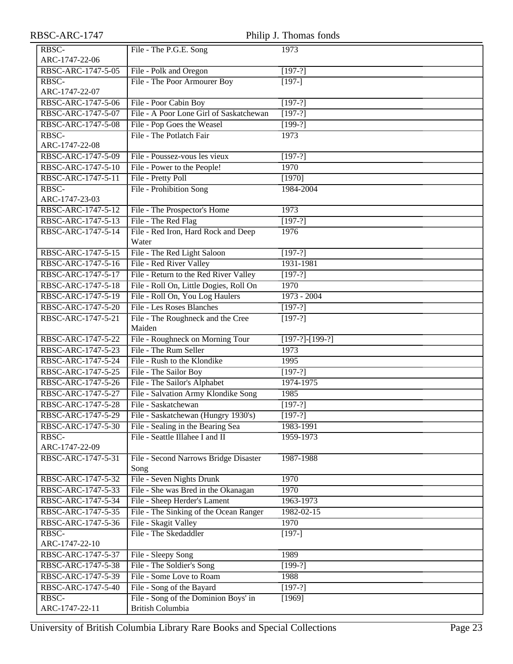| RBSC-ARC-1747           |                                               | Philip J. Thomas fonds |
|-------------------------|-----------------------------------------------|------------------------|
| RBSC-<br>ARC-1747-22-06 | File - The P.G.E. Song                        | 1973                   |
| RBSC-ARC-1747-5-05      | File - Polk and Oregon                        | $[197-?]$              |
| RBSC-                   | File - The Poor Armourer Boy                  | $[197-]$               |
| ARC-1747-22-07          |                                               |                        |
| RBSC-ARC-1747-5-06      | File - Poor Cabin Boy                         | $[197-?]$              |
| RBSC-ARC-1747-5-07      | File - A Poor Lone Girl of Saskatchewan       | $[197-?]$              |
| RBSC-ARC-1747-5-08      | File - Pop Goes the Weasel                    | $[199-?]$              |
| RBSC-                   | File - The Potlatch Fair                      | 1973                   |
| ARC-1747-22-08          |                                               |                        |
| RBSC-ARC-1747-5-09      | File - Poussez-vous les vieux                 | $[197-?]$              |
| RBSC-ARC-1747-5-10      | File - Power to the People!                   | 1970                   |
| RBSC-ARC-1747-5-11      | File - Pretty Poll                            | [1970]                 |
| RBSC-                   | File - Prohibition Song                       | 1984-2004              |
| ARC-1747-23-03          |                                               |                        |
| RBSC-ARC-1747-5-12      | File - The Prospector's Home                  | 1973                   |
| RBSC-ARC-1747-5-13      | File - The Red Flag                           | $[197-?]$              |
| RBSC-ARC-1747-5-14      | File - Red Iron, Hard Rock and Deep<br>Water  | 1976                   |
| RBSC-ARC-1747-5-15      | File - The Red Light Saloon                   | $[197-?]$              |
| RBSC-ARC-1747-5-16      | File - Red River Valley                       | 1931-1981              |
| RBSC-ARC-1747-5-17      | File - Return to the Red River Valley         | $[197-?]$              |
| RBSC-ARC-1747-5-18      | File - Roll On, Little Dogies, Roll On        | 1970                   |
| RBSC-ARC-1747-5-19      | File - Roll On, You Log Haulers               | $1973 - 2004$          |
| RBSC-ARC-1747-5-20      | <b>File - Les Roses Blanches</b>              | $[197-?]$              |
| RBSC-ARC-1747-5-21      | File - The Roughneck and the Cree<br>Maiden   | $[197-?]$              |
| RBSC-ARC-1747-5-22      | File - Roughneck on Morning Tour              | $[197-?]$ - $[199-?]$  |
| RBSC-ARC-1747-5-23      | File - The Rum Seller                         | 1973                   |
| RBSC-ARC-1747-5-24      | File - Rush to the Klondike                   | 1995                   |
| RBSC-ARC-1747-5-25      | File - The Sailor Boy                         | $[197-?]$              |
| RBSC-ARC-1747-5-26      | File - The Sailor's Alphabet                  | 1974-1975              |
| RBSC-ARC-1747-5-27      | File - Salvation Army Klondike Song           | 1985                   |
| RBSC-ARC-1747-5-28      | File - Saskatchewan                           | $[197-?]$              |
| RBSC-ARC-1747-5-29      | File - Saskatchewan (Hungry 1930's)           | $[197-?]$              |
| RBSC-ARC-1747-5-30      | File - Sealing in the Bearing Sea             | 1983-1991              |
| RBSC-                   | File - Seattle Illahee I and II               | 1959-1973              |
| ARC-1747-22-09          |                                               |                        |
| RBSC-ARC-1747-5-31      | File - Second Narrows Bridge Disaster<br>Song | 1987-1988              |
| RBSC-ARC-1747-5-32      | File - Seven Nights Drunk                     | 1970                   |
| RBSC-ARC-1747-5-33      | File - She was Bred in the Okanagan           | 1970                   |
| RBSC-ARC-1747-5-34      | File - Sheep Herder's Lament                  | 1963-1973              |
| RBSC-ARC-1747-5-35      | File - The Sinking of the Ocean Ranger        | $1982 - 02 - 15$       |
| RBSC-ARC-1747-5-36      | File - Skagit Valley                          | 1970                   |
| RBSC-<br>ARC-1747-22-10 | File - The Skedaddler                         | $[197-]$               |
| RBSC-ARC-1747-5-37      | File - Sleepy Song                            | 1989                   |
| RBSC-ARC-1747-5-38      | File - The Soldier's Song                     | $[199-?]$              |
| RBSC-ARC-1747-5-39      | File - Some Love to Roam                      | 1988                   |
| RBSC-ARC-1747-5-40      | File - Song of the Bayard                     | $[197-?]$              |
| RBSC-                   | File - Song of the Dominion Boys' in          | [1969]                 |
| ARC-1747-22-11          | <b>British Columbia</b>                       |                        |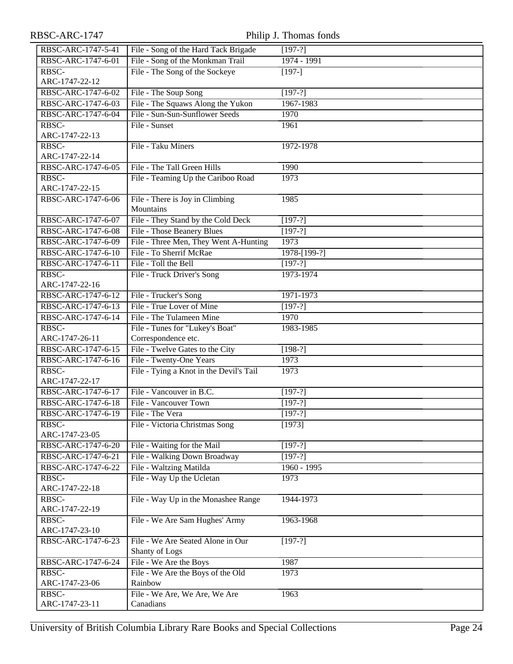| RBSC-ARC-1747      |                                         | Philip J. Thomas fonds |
|--------------------|-----------------------------------------|------------------------|
| RBSC-ARC-1747-5-41 | File - Song of the Hard Tack Brigade    | $[197-?]$              |
| RBSC-ARC-1747-6-01 | File - Song of the Monkman Trail        | 1974 - 1991            |
| RBSC-              | File - The Song of the Sockeye          | $[197-]$               |
| ARC-1747-22-12     |                                         |                        |
| RBSC-ARC-1747-6-02 | File - The Soup Song                    | $[197-?]$              |
| RBSC-ARC-1747-6-03 | File - The Squaws Along the Yukon       | 1967-1983              |
| RBSC-ARC-1747-6-04 | File - Sun-Sun-Sunflower Seeds          | 1970                   |
| RBSC-              | File - Sunset                           | 1961                   |
| ARC-1747-22-13     |                                         |                        |
| RBSC-              | File - Taku Miners                      | 1972-1978              |
| ARC-1747-22-14     |                                         |                        |
| RBSC-ARC-1747-6-05 | File - The Tall Green Hills             | 1990                   |
| RBSC-              | File - Teaming Up the Cariboo Road      | 1973                   |
| ARC-1747-22-15     |                                         |                        |
| RBSC-ARC-1747-6-06 | File - There is Joy in Climbing         | 1985                   |
|                    | Mountains                               |                        |
| RBSC-ARC-1747-6-07 | File - They Stand by the Cold Deck      | $[197-?]$              |
| RBSC-ARC-1747-6-08 | File - Those Beanery Blues              | $[197-?]$              |
| RBSC-ARC-1747-6-09 | File - Three Men, They Went A-Hunting   | 1973                   |
| RBSC-ARC-1747-6-10 | File - To Sherrif McRae                 | 1978-[199-?]           |
| RBSC-ARC-1747-6-11 | File - Toll the Bell                    | $[197-?]$              |
| RBSC-              | File - Truck Driver's Song              | 1973-1974              |
| ARC-1747-22-16     |                                         |                        |
| RBSC-ARC-1747-6-12 | File - Trucker's Song                   | 1971-1973              |
| RBSC-ARC-1747-6-13 | File - True Lover of Mine               | $[197-?]$              |
| RBSC-ARC-1747-6-14 | File - The Tulameen Mine                | 1970                   |
| RBSC-              | File - Tunes for "Lukey's Boat"         | 1983-1985              |
| ARC-1747-26-11     | Correspondence etc.                     |                        |
| RBSC-ARC-1747-6-15 | File - Twelve Gates to the City         | $[198-?]$              |
| RBSC-ARC-1747-6-16 | File - Twenty-One Years                 | 1973                   |
| RBSC-              | File - Tying a Knot in the Devil's Tail | 1973                   |
| ARC-1747-22-17     |                                         |                        |
| RBSC-ARC-1747-6-17 | File - Vancouver in B.C.                | $[197-?]$              |
| RBSC-ARC-1747-6-18 | File - Vancouver Town                   | $[197-?]$              |
| RBSC-ARC-1747-6-19 | File - The Vera                         | $[197-?]$              |
| RBSC-              | File - Victoria Christmas Song          | [1973]                 |
| ARC-1747-23-05     |                                         |                        |
| RBSC-ARC-1747-6-20 | File - Waiting for the Mail             | $[197-?]$              |
| RBSC-ARC-1747-6-21 | File - Walking Down Broadway            | $[197-?]$              |
| RBSC-ARC-1747-6-22 | File - Waltzing Matilda                 | $1960 - 1995$          |
| RBSC-              | File - Way Up the Ucletan               | 1973                   |
| ARC-1747-22-18     |                                         |                        |
| RBSC-              | File - Way Up in the Monashee Range     | 1944-1973              |
| ARC-1747-22-19     |                                         |                        |
| RBSC-              | File - We Are Sam Hughes' Army          | 1963-1968              |
| ARC-1747-23-10     | File - We Are Seated Alone in Our       |                        |
| RBSC-ARC-1747-6-23 | Shanty of Logs                          | $[197-?]$              |
| RBSC-ARC-1747-6-24 | File - We Are the Boys                  | 1987                   |
| RBSC-              | File - We Are the Boys of the Old       | 1973                   |
| ARC-1747-23-06     | Rainbow                                 |                        |
| RBSC-              | File - We Are, We Are, We Are           | 1963                   |
| ARC-1747-23-11     | Canadians                               |                        |
|                    |                                         |                        |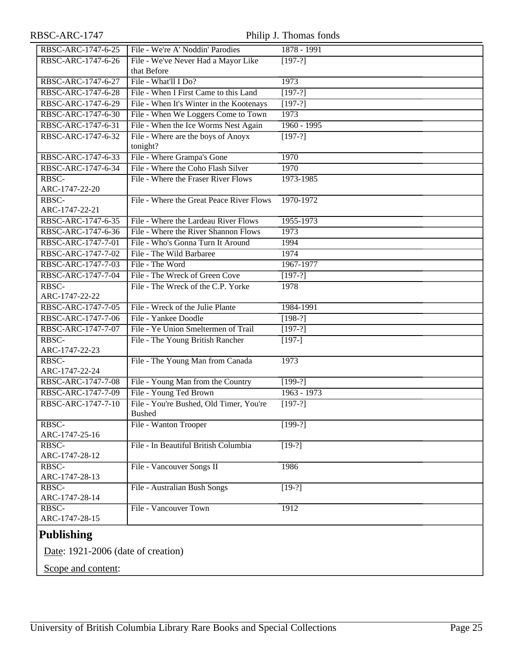# RBSC-ARC-1747 Philip J. Thomas fonds

| RBSC-ARC-1747-6-25      | File - We're A' Noddin' Parodies         | $1878 - 1991$ |
|-------------------------|------------------------------------------|---------------|
| RBSC-ARC-1747-6-26      | File - We've Never Had a Mayor Like      | $[197-?]$     |
|                         | that Before                              |               |
| RBSC-ARC-1747-6-27      | File - What'll I Do?                     | 1973          |
| RBSC-ARC-1747-6-28      | File - When I First Came to this Land    | $[197-?]$     |
| RBSC-ARC-1747-6-29      | File - When It's Winter in the Kootenays | $[197-?]$     |
| RBSC-ARC-1747-6-30      | File - When We Loggers Come to Town      | 1973          |
| RBSC-ARC-1747-6-31      | File - When the Ice Worms Nest Again     | $1960 - 1995$ |
| RBSC-ARC-1747-6-32      | File - Where are the boys of Anoyx       | $[197-?]$     |
|                         | tonight?                                 |               |
| RBSC-ARC-1747-6-33      | File - Where Grampa's Gone               | 1970          |
| RBSC-ARC-1747-6-34      | File - Where the Coho Flash Silver       | 1970          |
| RBSC-                   | File - Where the Fraser River Flows      | 1973-1985     |
| ARC-1747-22-20          |                                          |               |
| RBSC-                   | File - Where the Great Peace River Flows | 1970-1972     |
| ARC-1747-22-21          |                                          |               |
| RBSC-ARC-1747-6-35      | File - Where the Lardeau River Flows     | 1955-1973     |
| RBSC-ARC-1747-6-36      | File - Where the River Shannon Flows     | 1973          |
| RBSC-ARC-1747-7-01      | File - Who's Gonna Turn It Around        | 1994          |
| RBSC-ARC-1747-7-02      | File - The Wild Barbaree                 | 1974          |
| RBSC-ARC-1747-7-03      | File - The Word                          | 1967-1977     |
| RBSC-ARC-1747-7-04      | File - The Wreck of Green Cove           | $[197-?]$     |
| RBSC-                   | File - The Wreck of the C.P. Yorke       | 1978          |
| ARC-1747-22-22          |                                          |               |
| RBSC-ARC-1747-7-05      | File - Wreck of the Julie Plante         | 1984-1991     |
| RBSC-ARC-1747-7-06      | File - Yankee Doodle                     | $[198-?]$     |
| RBSC-ARC-1747-7-07      | File - Ye Union Smeltermen of Trail      | $[197-?]$     |
| RBSC-                   | File - The Young British Rancher         | $[197-]$      |
| ARC-1747-22-23          |                                          |               |
| RBSC-                   | File - The Young Man from Canada         | 1973          |
| ARC-1747-22-24          |                                          |               |
| RBSC-ARC-1747-7-08      | File - Young Man from the Country        | $[199-?]$     |
| RBSC-ARC-1747-7-09      | File - Young Ted Brown                   | $1963 - 1973$ |
| RBSC-ARC-1747-7-10      | File - You're Bushed, Old Timer, You're  | $[197-?]$     |
|                         | <b>Bushed</b>                            |               |
| RBSC-<br>ARC-1747-25-16 | File - Wanton Trooper                    | $[199-?]$     |
| RBSC-                   | File - In Beautiful British Columbia     | $[19-?]$      |
| ARC-1747-28-12          |                                          |               |
| RBSC-                   | File - Vancouver Songs II                | 1986          |
| ARC-1747-28-13          |                                          |               |
| RBSC-                   | File - Australian Bush Songs             | $[19-?]$      |
| ARC-1747-28-14          |                                          |               |
| RBSC-                   | File - Vancouver Town                    | 1912          |
| ARC-1747-28-15          |                                          |               |
| <b>Publishing</b>       |                                          |               |
|                         |                                          |               |

<span id="page-24-0"></span>Date: 1921-2006 (date of creation)

Scope and content: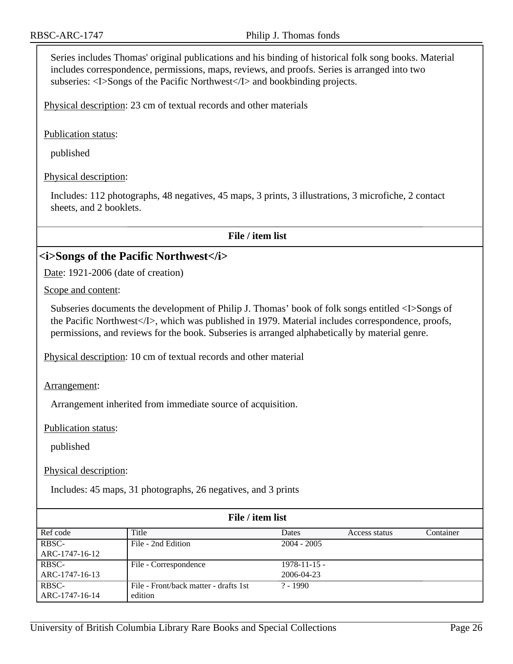Series includes Thomas' original publications and his binding of historical folk song books. Material includes correspondence, permissions, maps, reviews, and proofs. Series is arranged into two subseries: <I>Songs of the Pacific Northwest</I> and bookbinding projects.

Physical description: 23 cm of textual records and other materials

Publication status:

published

Physical description:

Includes: 112 photographs, 48 negatives, 45 maps, 3 prints, 3 illustrations, 3 microfiche, 2 contact sheets, and 2 booklets.

**File / item list**

#### <span id="page-25-0"></span>**<i>Songs of the Pacific Northwest</i>**

Date: 1921-2006 (date of creation)

Scope and content:

Subseries documents the development of Philip J. Thomas' book of folk songs entitled <I>Songs of the Pacific Northwest</I>, which was published in 1979. Material includes correspondence, proofs, permissions, and reviews for the book. Subseries is arranged alphabetically by material genre.

Physical description: 10 cm of textual records and other material

Arrangement:

Arrangement inherited from immediate source of acquisition.

Publication status:

published

Physical description:

Includes: 45 maps, 31 photographs, 26 negatives, and 3 prints

| File / item list |                                       |                  |               |           |
|------------------|---------------------------------------|------------------|---------------|-----------|
| Ref code         | Title                                 | <b>Dates</b>     | Access status | Container |
| RBSC-            | File - 2nd Edition                    | $2004 - 2005$    |               |           |
| ARC-1747-16-12   |                                       |                  |               |           |
| RBSC-            | File - Correspondence                 | $1978 - 11 - 15$ |               |           |
| ARC-1747-16-13   |                                       | 2006-04-23       |               |           |
| RBSC-            | File - Front/back matter - drafts 1st | $? - 1990$       |               |           |
| ARC-1747-16-14   | edition                               |                  |               |           |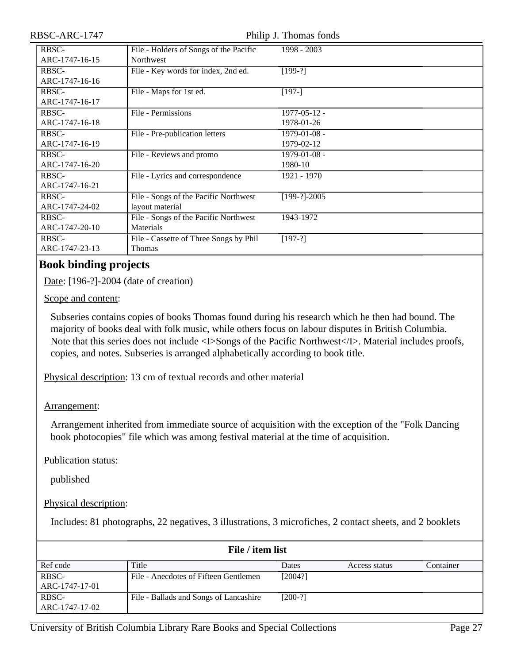Philip J. Thomas fonds

| RBSC-          | File - Holders of Songs of the Pacific | 1998 - 2003        |
|----------------|----------------------------------------|--------------------|
| ARC-1747-16-15 | Northwest                              |                    |
| RBSC-          | File - Key words for index, 2nd ed.    | $[199-?]$          |
| ARC-1747-16-16 |                                        |                    |
| RBSC-          | File - Maps for 1st ed.                | $[197-]$           |
| ARC-1747-16-17 |                                        |                    |
| RBSC-          | File - Permissions                     | $1977 - 05 - 12$ - |
| ARC-1747-16-18 |                                        | 1978-01-26         |
| RBSC-          | File - Pre-publication letters         | 1979-01-08 -       |
| ARC-1747-16-19 |                                        | 1979-02-12         |
| RBSC-          | File - Reviews and promo               | $1979 - 01 - 08$ - |
| ARC-1747-16-20 |                                        | 1980-10            |
| RBSC-          | File - Lyrics and correspondence       | 1921 - 1970        |
| ARC-1747-16-21 |                                        |                    |
| RBSC-          | File - Songs of the Pacific Northwest  | $[199-?]-2005$     |
| ARC-1747-24-02 | layout material                        |                    |
| RBSC-          | File - Songs of the Pacific Northwest  | 1943-1972          |
| ARC-1747-20-10 | Materials                              |                    |
| RBSC-          | File - Cassette of Three Songs by Phil | $[197-?]$          |
| ARC-1747-23-13 | Thomas                                 |                    |

## <span id="page-26-0"></span>**Book binding projects**

Date: [196-?]-2004 (date of creation)

Scope and content:

Subseries contains copies of books Thomas found during his research which he then had bound. The majority of books deal with folk music, while others focus on labour disputes in British Columbia. Note that this series does not include <I>Songs of the Pacific Northwest</I>. Material includes proofs, copies, and notes. Subseries is arranged alphabetically according to book title.

Physical description: 13 cm of textual records and other material

#### Arrangement:

Arrangement inherited from immediate source of acquisition with the exception of the "Folk Dancing book photocopies" file which was among festival material at the time of acquisition.

Publication status:

published

Physical description:

Includes: 81 photographs, 22 negatives, 3 illustrations, 3 microfiches, 2 contact sheets, and 2 booklets

| File / item list        |                                        |           |               |           |
|-------------------------|----------------------------------------|-----------|---------------|-----------|
| Ref code                | Title                                  | Dates     | Access status | Container |
| RBSC-<br>ARC-1747-17-01 | File - Anecdotes of Fifteen Gentlemen  | [2004?]   |               |           |
| RBSC-<br>ARC-1747-17-02 | File - Ballads and Songs of Lancashire | $[200-?]$ |               |           |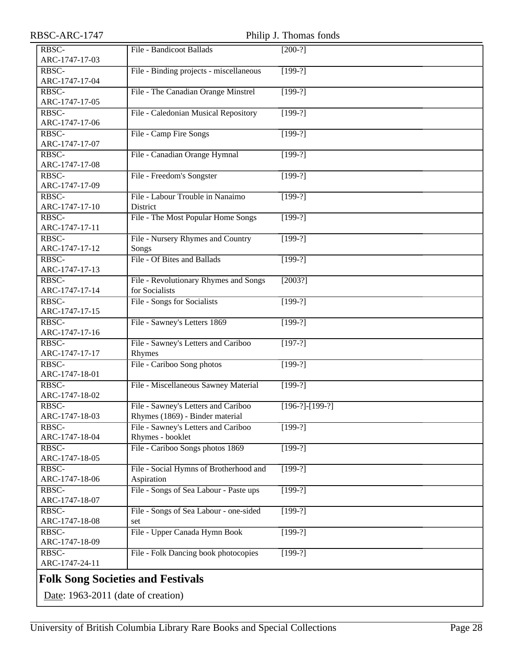<span id="page-27-0"></span>

| RBSC-ARC-1747  | Philip J. Thomas fonds                   |                   |  |  |
|----------------|------------------------------------------|-------------------|--|--|
| RBSC-          | File - Bandicoot Ballads                 | $[200-?]$         |  |  |
| ARC-1747-17-03 |                                          |                   |  |  |
| RBSC-          | File - Binding projects - miscellaneous  | $[199-?]$         |  |  |
| ARC-1747-17-04 |                                          |                   |  |  |
| RBSC-          | File - The Canadian Orange Minstrel      | $[199-?]$         |  |  |
| ARC-1747-17-05 |                                          |                   |  |  |
| RBSC-          | File - Caledonian Musical Repository     | $[199-?]$         |  |  |
| ARC-1747-17-06 |                                          |                   |  |  |
| RBSC-          | File - Camp Fire Songs                   | $[199-?]$         |  |  |
| ARC-1747-17-07 |                                          |                   |  |  |
| RBSC-          | File - Canadian Orange Hymnal            | $[199-?]$         |  |  |
| ARC-1747-17-08 |                                          |                   |  |  |
| RBSC-          | File - Freedom's Songster                | $[199-?]$         |  |  |
| ARC-1747-17-09 |                                          |                   |  |  |
| RBSC-          | File - Labour Trouble in Nanaimo         | $[199-?]$         |  |  |
| ARC-1747-17-10 | District                                 |                   |  |  |
| RBSC-          | File - The Most Popular Home Songs       | $[199-?]$         |  |  |
| ARC-1747-17-11 |                                          |                   |  |  |
| RBSC-          | File - Nursery Rhymes and Country        | $[199-?]$         |  |  |
| ARC-1747-17-12 | Songs                                    |                   |  |  |
| RBSC-          | File - Of Bites and Ballads              | $[199-?]$         |  |  |
| ARC-1747-17-13 |                                          |                   |  |  |
| RBSC-          | File - Revolutionary Rhymes and Songs    | [2003?]           |  |  |
| ARC-1747-17-14 | for Socialists                           |                   |  |  |
| RBSC-          | File - Songs for Socialists              | $[199-?]$         |  |  |
| ARC-1747-17-15 |                                          |                   |  |  |
| RBSC-          | File - Sawney's Letters 1869             | $[199-?]$         |  |  |
| ARC-1747-17-16 |                                          |                   |  |  |
| RBSC-          | File - Sawney's Letters and Cariboo      | $[197-?]$         |  |  |
| ARC-1747-17-17 | Rhymes                                   |                   |  |  |
| RBSC-          | File - Cariboo Song photos               | $[199-?]$         |  |  |
| ARC-1747-18-01 |                                          |                   |  |  |
| RBSC-          | File - Miscellaneous Sawney Material     | $[199-?]$         |  |  |
| ARC-1747-18-02 |                                          |                   |  |  |
| RBSC-          | File - Sawney's Letters and Cariboo      | $[196-?]-[199-?]$ |  |  |
| ARC-1747-18-03 | Rhymes (1869) - Binder material          |                   |  |  |
| RBSC-          | File - Sawney's Letters and Cariboo      | $[199-?]$         |  |  |
| ARC-1747-18-04 | Rhymes - booklet                         |                   |  |  |
| RBSC-          | File - Cariboo Songs photos 1869         | $[199-?]$         |  |  |
| ARC-1747-18-05 |                                          |                   |  |  |
| RBSC-          | File - Social Hymns of Brotherhood and   | $[199-?]$         |  |  |
| ARC-1747-18-06 | Aspiration                               |                   |  |  |
| RBSC-          | File - Songs of Sea Labour - Paste ups   | $[199-?]$         |  |  |
| ARC-1747-18-07 |                                          |                   |  |  |
| RBSC-          | File - Songs of Sea Labour - one-sided   | $[199-?]$         |  |  |
| ARC-1747-18-08 | set                                      |                   |  |  |
| RBSC-          | File - Upper Canada Hymn Book            | $[199-?]$         |  |  |
| ARC-1747-18-09 |                                          |                   |  |  |
| RBSC-          | File - Folk Dancing book photocopies     | $[199-?]$         |  |  |
| ARC-1747-24-11 |                                          |                   |  |  |
|                |                                          |                   |  |  |
|                | <b>Folk Song Societies and Festivals</b> |                   |  |  |
|                | Date: 1963-2011 (date of creation)       |                   |  |  |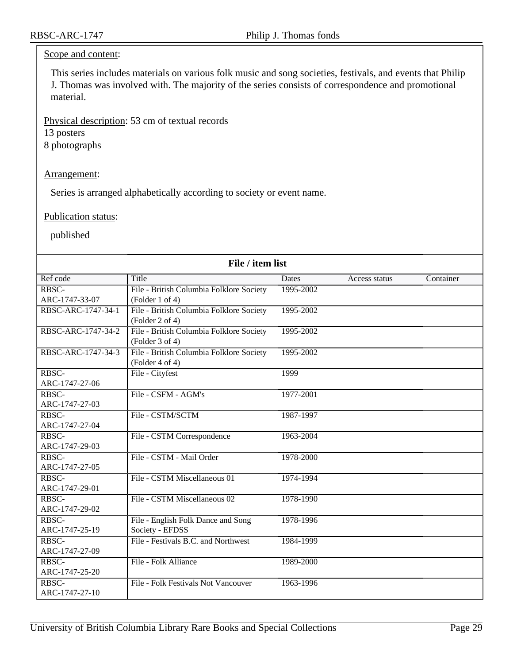#### Scope and content:

This series includes materials on various folk music and song societies, festivals, and events that Philip J. Thomas was involved with. The majority of the series consists of correspondence and promotional material.

Physical description: 53 cm of textual records

13 posters

8 photographs

#### Arrangement:

Series is arranged alphabetically according to society or event name.

#### Publication status:

published

| File / item list   |                                          |              |               |           |
|--------------------|------------------------------------------|--------------|---------------|-----------|
| Ref code           | Title                                    | <b>Dates</b> | Access status | Container |
| RBSC-              | File - British Columbia Folklore Society | 1995-2002    |               |           |
| ARC-1747-33-07     | ( Folder 1 of 4)                         |              |               |           |
| RBSC-ARC-1747-34-1 | File - British Columbia Folklore Society | 1995-2002    |               |           |
|                    | (Folder 2 of 4)                          |              |               |           |
| RBSC-ARC-1747-34-2 | File - British Columbia Folklore Society | 1995-2002    |               |           |
|                    | (Folder 3 of 4)                          |              |               |           |
| RBSC-ARC-1747-34-3 | File - British Columbia Folklore Society | 1995-2002    |               |           |
|                    | $( \text{Folder } 4 \text{ of } 4 )$     |              |               |           |
| RBSC-              | File - Cityfest                          | 1999         |               |           |
| ARC-1747-27-06     |                                          |              |               |           |
| RBSC-              | File - CSFM - AGM's                      | 1977-2001    |               |           |
| ARC-1747-27-03     |                                          |              |               |           |
| RBSC-              | File - CSTM/SCTM                         | 1987-1997    |               |           |
| ARC-1747-27-04     |                                          |              |               |           |
| RBSC-              | File - CSTM Correspondence               | 1963-2004    |               |           |
| ARC-1747-29-03     |                                          |              |               |           |
| RBSC-              | File - CSTM - Mail Order                 | 1978-2000    |               |           |
| ARC-1747-27-05     |                                          |              |               |           |
| RBSC-              | File - CSTM Miscellaneous 01             | 1974-1994    |               |           |
| ARC-1747-29-01     |                                          |              |               |           |
| RBSC-              | File - CSTM Miscellaneous 02             | 1978-1990    |               |           |
| ARC-1747-29-02     |                                          |              |               |           |
| RBSC-              | File - English Folk Dance and Song       | 1978-1996    |               |           |
| ARC-1747-25-19     | Society - EFDSS                          |              |               |           |
| RBSC-              | File - Festivals B.C. and Northwest      | 1984-1999    |               |           |
| ARC-1747-27-09     |                                          |              |               |           |
| RBSC-              | File - Folk Alliance                     | 1989-2000    |               |           |
| ARC-1747-25-20     |                                          |              |               |           |
| RBSC-              | File - Folk Festivals Not Vancouver      | 1963-1996    |               |           |
| ARC-1747-27-10     |                                          |              |               |           |